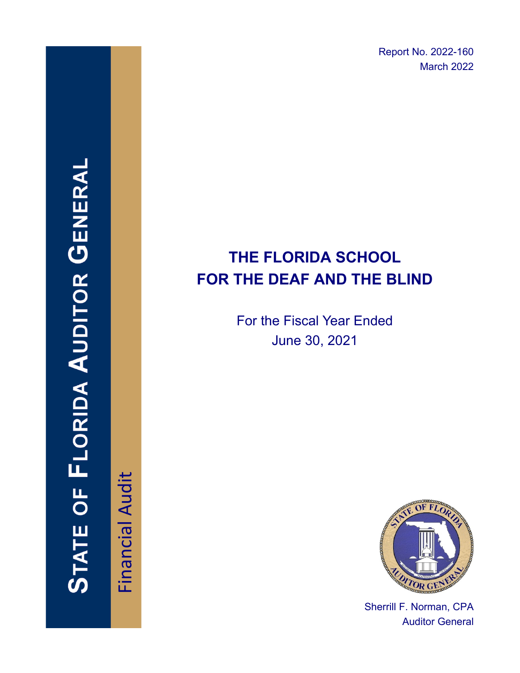Report No. 2022-160 March 2022

# **THE FLORIDA SCHOOL FOR THE DEAF AND THE BLIND**

For the Fiscal Year Ended June 30, 2021



Sherrill F. Norman, CPA Auditor General

Financial Audit Financial Audit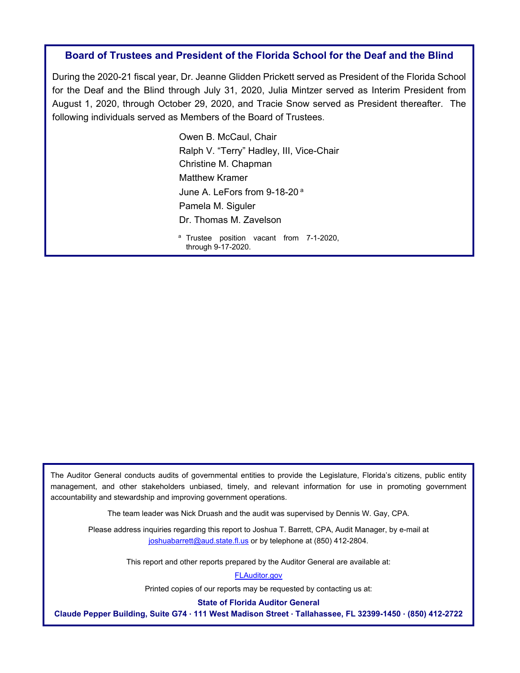#### **Board of Trustees and President of the Florida School for the Deaf and the Blind**

During the 2020-21 fiscal year, Dr. Jeanne Glidden Prickett served as President of the Florida School for the Deaf and the Blind through July 31, 2020, Julia Mintzer served as Interim President from August 1, 2020, through October 29, 2020, and Tracie Snow served as President thereafter. The following individuals served as Members of the Board of Trustees.

> Owen B. McCaul, Chair Ralph V. "Terry" Hadley, III, Vice-Chair Christine M. Chapman Matthew Kramer June A. LeFors from 9-18-20<sup>a</sup> Pamela M. Siguler Dr. Thomas M. Zavelson a Trustee position vacant from 7-1-2020,

through 9-17-2020.

The Auditor General conducts audits of governmental entities to provide the Legislature, Florida's citizens, public entity management, and other stakeholders unbiased, timely, and relevant information for use in promoting government accountability and stewardship and improving government operations.

The team leader was Nick Druash and the audit was supervised by Dennis W. Gay, CPA.

Please address inquiries regarding this report to Joshua T. Barrett, CPA, Audit Manager, by e-mail at joshuabarrett@aud.state.fl.us or by telephone at (850) 412-2804.

This report and other reports prepared by the Auditor General are available at:

[FLAuditor.gov](http://flauditor.gov/)

Printed copies of our reports may be requested by contacting us at:

**State of Florida Auditor General** 

**Claude Pepper Building, Suite G74 · 111 West Madison Street · Tallahassee, FL 32399-1450 · (850) 412-2722**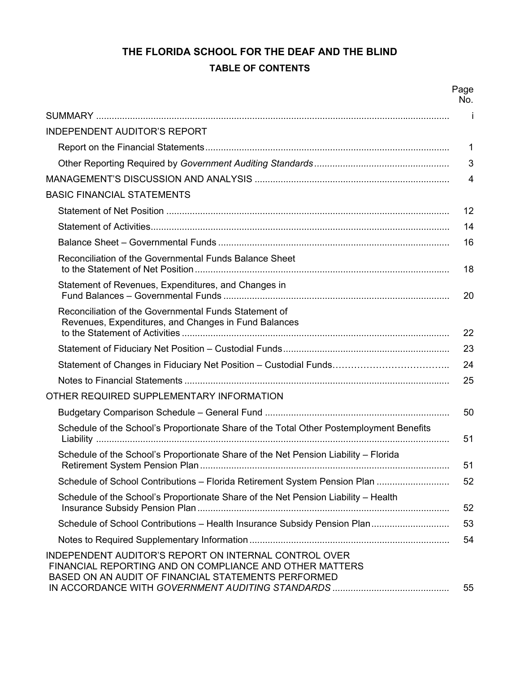### **THE FLORIDA SCHOOL FOR THE DEAF AND THE BLIND TABLE OF CONTENTS**

|                                                                                                                                                                                | Page<br>No.  |
|--------------------------------------------------------------------------------------------------------------------------------------------------------------------------------|--------------|
|                                                                                                                                                                                | j.           |
| <b>INDEPENDENT AUDITOR'S REPORT</b>                                                                                                                                            |              |
|                                                                                                                                                                                | $\mathbf{1}$ |
|                                                                                                                                                                                | 3            |
|                                                                                                                                                                                | 4            |
| <b>BASIC FINANCIAL STATEMENTS</b>                                                                                                                                              |              |
|                                                                                                                                                                                | 12           |
|                                                                                                                                                                                | 14           |
|                                                                                                                                                                                | 16           |
| Reconciliation of the Governmental Funds Balance Sheet                                                                                                                         | 18           |
| Statement of Revenues, Expenditures, and Changes in                                                                                                                            | 20           |
| Reconciliation of the Governmental Funds Statement of<br>Revenues, Expenditures, and Changes in Fund Balances                                                                  | 22           |
|                                                                                                                                                                                | 23           |
|                                                                                                                                                                                | 24           |
|                                                                                                                                                                                | 25           |
| OTHER REQUIRED SUPPLEMENTARY INFORMATION                                                                                                                                       |              |
|                                                                                                                                                                                | 50           |
| Schedule of the School's Proportionate Share of the Total Other Postemployment Benefits                                                                                        | 51           |
| Schedule of the School's Proportionate Share of the Net Pension Liability – Florida                                                                                            | 51           |
| Schedule of School Contributions - Florida Retirement System Pension Plan                                                                                                      | 52           |
| Schedule of the School's Proportionate Share of the Net Pension Liability - Health                                                                                             | 52           |
| Schedule of School Contributions - Health Insurance Subsidy Pension Plan                                                                                                       | 53           |
|                                                                                                                                                                                | 54           |
| <b>INDEPENDENT AUDITOR'S REPORT ON INTERNAL CONTROL OVER</b><br>FINANCIAL REPORTING AND ON COMPLIANCE AND OTHER MATTERS<br>BASED ON AN AUDIT OF FINANCIAL STATEMENTS PERFORMED | 55           |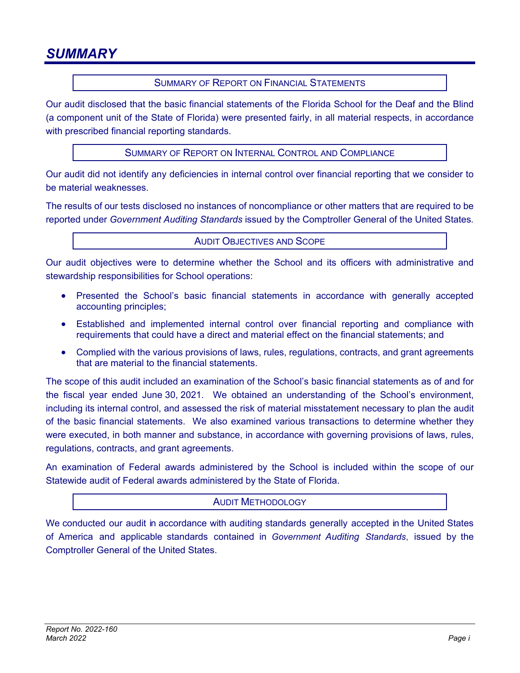#### SUMMARY OF REPORT ON FINANCIAL STATEMENTS

<span id="page-3-0"></span>Our audit disclosed that the basic financial statements of the Florida School for the Deaf and the Blind (a component unit of the State of Florida) were presented fairly, in all material respects, in accordance with prescribed financial reporting standards.

SUMMARY OF REPORT ON INTERNAL CONTROL AND COMPLIANCE

Our audit did not identify any deficiencies in internal control over financial reporting that we consider to be material weaknesses.

The results of our tests disclosed no instances of noncompliance or other matters that are required to be reported under *Government Auditing Standards* issued by the Comptroller General of the United States*.*

#### AUDIT OBJECTIVES AND SCOPE

Our audit objectives were to determine whether the School and its officers with administrative and stewardship responsibilities for School operations:

- Presented the School's basic financial statements in accordance with generally accepted accounting principles;
- Established and implemented internal control over financial reporting and compliance with requirements that could have a direct and material effect on the financial statements; and
- Complied with the various provisions of laws, rules, regulations, contracts, and grant agreements that are material to the financial statements.

The scope of this audit included an examination of the School's basic financial statements as of and for the fiscal year ended June 30, 2021. We obtained an understanding of the School's environment, including its internal control, and assessed the risk of material misstatement necessary to plan the audit of the basic financial statements. We also examined various transactions to determine whether they were executed, in both manner and substance, in accordance with governing provisions of laws, rules, regulations, contracts, and grant agreements.

An examination of Federal awards administered by the School is included within the scope of our Statewide audit of Federal awards administered by the State of Florida.

#### AUDIT METHODOLOGY

We conducted our audit in accordance with auditing standards generally accepted in the United States of America and applicable standards contained in *Government Auditing Standards*, issued by the Comptroller General of the United States.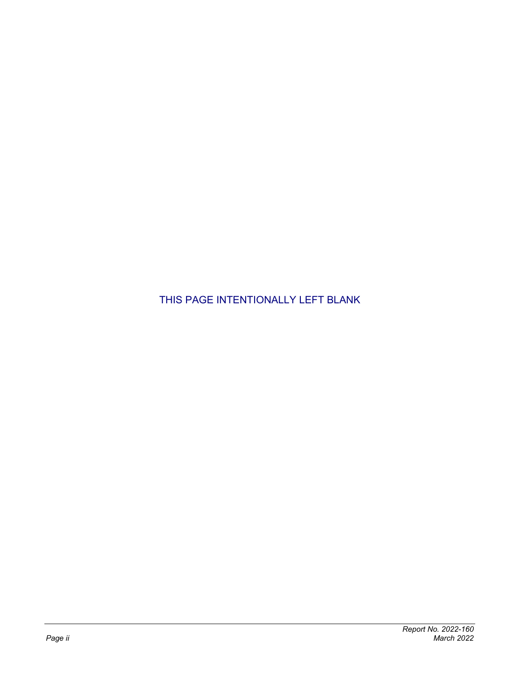THIS PAGE INTENTIONALLY LEFT BLANK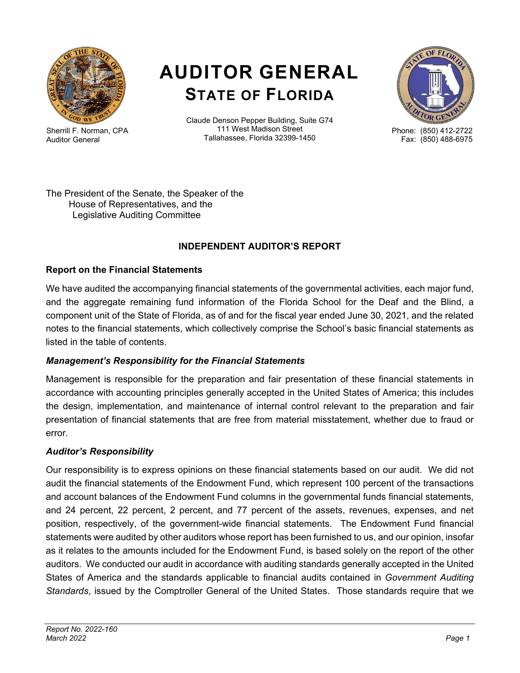<span id="page-5-0"></span>

Sherrill F. Norman, CPA Auditor General

# **AUDITOR GENERAL STATE OF FLORIDA**

Claude Denson Pepper Building, Suite G74 111 West Madison Street Tallahassee, Florida 32399-1450



Phone: (850) 412-2722 Fax: (850) 488-6975

The President of the Senate, the Speaker of the House of Representatives, and the Legislative Auditing Committee

### **INDEPENDENT AUDITOR'S REPORT**

#### **Report on the Financial Statements**

We have audited the accompanying financial statements of the governmental activities, each major fund, and the aggregate remaining fund information of the Florida School for the Deaf and the Blind, a component unit of the State of Florida, as of and for the fiscal year ended June 30, 2021, and the related notes to the financial statements, which collectively comprise the School's basic financial statements as listed in the table of contents.

#### *Management's Responsibility for the Financial Statements*

Management is responsible for the preparation and fair presentation of these financial statements in accordance with accounting principles generally accepted in the United States of America; this includes the design, implementation, and maintenance of internal control relevant to the preparation and fair presentation of financial statements that are free from material misstatement, whether due to fraud or error.

#### *Auditor's Responsibility*

Our responsibility is to express opinions on these financial statements based on our audit. We did not audit the financial statements of the Endowment Fund, which represent 100 percent of the transactions and account balances of the Endowment Fund columns in the governmental funds financial statements, and 24 percent, 22 percent, 2 percent, and 77 percent of the assets, revenues, expenses, and net position, respectively, of the government-wide financial statements. The Endowment Fund financial statements were audited by other auditors whose report has been furnished to us, and our opinion, insofar as it relates to the amounts included for the Endowment Fund, is based solely on the report of the other auditors. We conducted our audit in accordance with auditing standards generally accepted in the United States of America and the standards applicable to financial audits contained in *Government Auditing Standards*, issued by the Comptroller General of the United States. Those standards require that we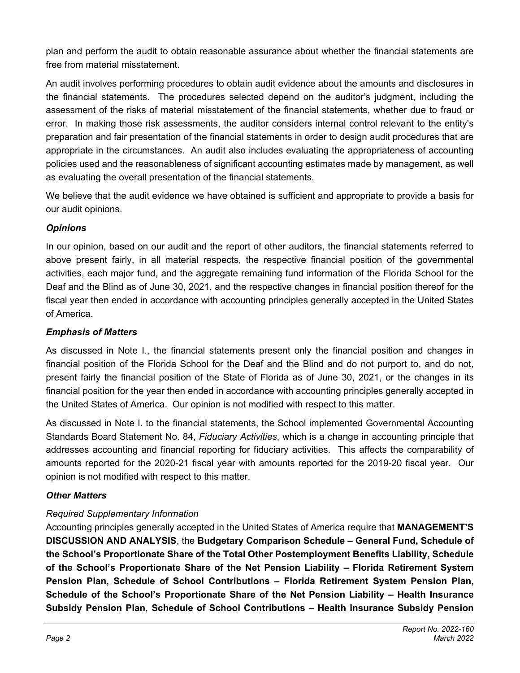plan and perform the audit to obtain reasonable assurance about whether the financial statements are free from material misstatement.

An audit involves performing procedures to obtain audit evidence about the amounts and disclosures in the financial statements. The procedures selected depend on the auditor's judgment, including the assessment of the risks of material misstatement of the financial statements, whether due to fraud or error. In making those risk assessments, the auditor considers internal control relevant to the entity's preparation and fair presentation of the financial statements in order to design audit procedures that are appropriate in the circumstances. An audit also includes evaluating the appropriateness of accounting policies used and the reasonableness of significant accounting estimates made by management, as well as evaluating the overall presentation of the financial statements.

We believe that the audit evidence we have obtained is sufficient and appropriate to provide a basis for our audit opinions.

### *Opinions*

In our opinion, based on our audit and the report of other auditors, the financial statements referred to above present fairly, in all material respects, the respective financial position of the governmental activities, each major fund, and the aggregate remaining fund information of the Florida School for the Deaf and the Blind as of June 30, 2021, and the respective changes in financial position thereof for the fiscal year then ended in accordance with accounting principles generally accepted in the United States of America.

### *Emphasis of Matters*

As discussed in Note I., the financial statements present only the financial position and changes in financial position of the Florida School for the Deaf and the Blind and do not purport to, and do not, present fairly the financial position of the State of Florida as of June 30, 2021, or the changes in its financial position for the year then ended in accordance with accounting principles generally accepted in the United States of America. Our opinion is not modified with respect to this matter.

As discussed in Note I. to the financial statements, the School implemented Governmental Accounting Standards Board Statement No. 84, *Fiduciary Activities*, which is a change in accounting principle that addresses accounting and financial reporting for fiduciary activities. This affects the comparability of amounts reported for the 2020-21 fiscal year with amounts reported for the 2019-20 fiscal year. Our opinion is not modified with respect to this matter.

### *Other Matters*

### *Required Supplementary Information*

Accounting principles generally accepted in the United States of America require that **MANAGEMENT'S DISCUSSION AND ANALYSIS**, the **Budgetary Comparison Schedule – General Fund, Schedule of the School's Proportionate Share of the Total Other Postemployment Benefits Liability, Schedule of the School's Proportionate Share of the Net Pension Liability – Florida Retirement System Pension Plan, Schedule of School Contributions – Florida Retirement System Pension Plan, Schedule of the School's Proportionate Share of the Net Pension Liability – Health Insurance Subsidy Pension Plan**, **Schedule of School Contributions – Health Insurance Subsidy Pension**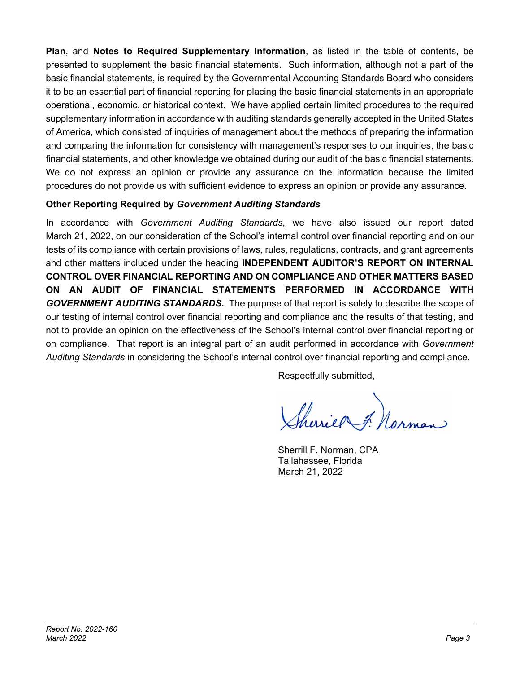<span id="page-7-0"></span>**Plan**, and **Notes to Required Supplementary Information**, as listed in the table of contents, be presented to supplement the basic financial statements. Such information, although not a part of the basic financial statements, is required by the Governmental Accounting Standards Board who considers it to be an essential part of financial reporting for placing the basic financial statements in an appropriate operational, economic, or historical context. We have applied certain limited procedures to the required supplementary information in accordance with auditing standards generally accepted in the United States of America, which consisted of inquiries of management about the methods of preparing the information and comparing the information for consistency with management's responses to our inquiries, the basic financial statements, and other knowledge we obtained during our audit of the basic financial statements. We do not express an opinion or provide any assurance on the information because the limited procedures do not provide us with sufficient evidence to express an opinion or provide any assurance.

#### **Other Reporting Required by** *Government Auditing Standards*

In accordance with *Government Auditing Standards*, we have also issued our report dated March 21, 2022, on our consideration of the School's internal control over financial reporting and on our tests of its compliance with certain provisions of laws, rules, regulations, contracts, and grant agreements and other matters included under the heading **INDEPENDENT AUDITOR'S REPORT ON INTERNAL CONTROL OVER FINANCIAL REPORTING AND ON COMPLIANCE AND OTHER MATTERS BASED ON AN AUDIT OF FINANCIAL STATEMENTS PERFORMED IN ACCORDANCE WITH**  *GOVERNMENT AUDITING STANDARDS***.** The purpose of that report is solely to describe the scope of our testing of internal control over financial reporting and compliance and the results of that testing, and not to provide an opinion on the effectiveness of the School's internal control over financial reporting or on compliance. That report is an integral part of an audit performed in accordance with *Government Auditing Standards* in considering the School's internal control over financial reporting and compliance.

Respectfully submitted,

Shirier F. Norman

Sherrill F. Norman, CPA Tallahassee, Florida March 21, 2022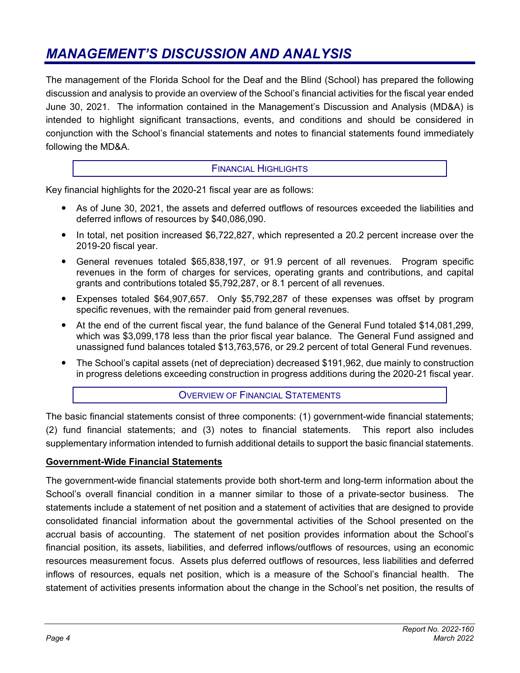## <span id="page-8-0"></span>*MANAGEMENT'S DISCUSSION AND ANALYSIS*

The management of the Florida School for the Deaf and the Blind (School) has prepared the following discussion and analysis to provide an overview of the School's financial activities for the fiscal year ended June 30, 2021. The information contained in the Management's Discussion and Analysis (MD&A) is intended to highlight significant transactions, events, and conditions and should be considered in conjunction with the School's financial statements and notes to financial statements found immediately following the MD&A.

#### FINANCIAL HIGHLIGHTS

Key financial highlights for the 2020-21 fiscal year are as follows:

- As of June 30, 2021, the assets and deferred outflows of resources exceeded the liabilities and deferred inflows of resources by \$40,086,090.
- In total, net position increased \$6,722,827, which represented a 20.2 percent increase over the 2019-20 fiscal year.
- General revenues totaled \$65,838,197, or 91.9 percent of all revenues. Program specific revenues in the form of charges for services, operating grants and contributions, and capital grants and contributions totaled \$5,792,287, or 8.1 percent of all revenues.
- Expenses totaled \$64,907,657. Only \$5,792,287 of these expenses was offset by program specific revenues, with the remainder paid from general revenues.
- At the end of the current fiscal year, the fund balance of the General Fund totaled \$14,081,299, which was \$3,099,178 less than the prior fiscal year balance. The General Fund assigned and unassigned fund balances totaled \$13,763,576, or 29.2 percent of total General Fund revenues.
- The School's capital assets (net of depreciation) decreased \$191,962, due mainly to construction in progress deletions exceeding construction in progress additions during the 2020-21 fiscal year.

#### OVERVIEW OF FINANCIAL STATEMENTS

The basic financial statements consist of three components: (1) government-wide financial statements; (2) fund financial statements; and (3) notes to financial statements. This report also includes supplementary information intended to furnish additional details to support the basic financial statements.

#### **Government-Wide Financial Statements**

The government-wide financial statements provide both short-term and long-term information about the School's overall financial condition in a manner similar to those of a private-sector business. The statements include a statement of net position and a statement of activities that are designed to provide consolidated financial information about the governmental activities of the School presented on the accrual basis of accounting. The statement of net position provides information about the School's financial position, its assets, liabilities, and deferred inflows/outflows of resources, using an economic resources measurement focus. Assets plus deferred outflows of resources, less liabilities and deferred inflows of resources, equals net position, which is a measure of the School's financial health. The statement of activities presents information about the change in the School's net position, the results of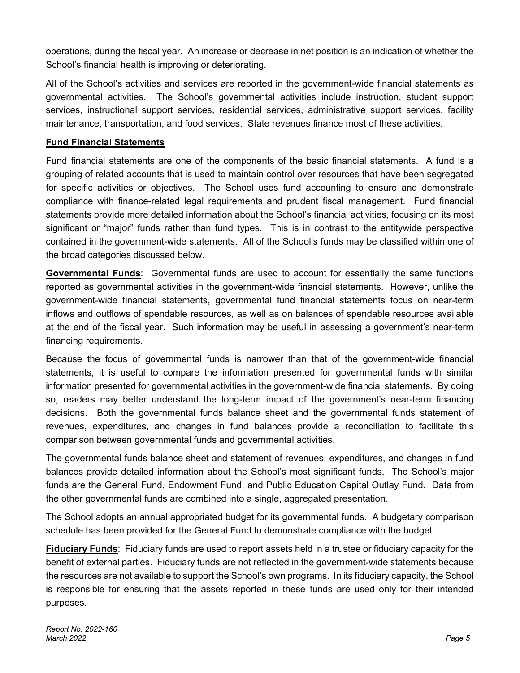operations, during the fiscal year. An increase or decrease in net position is an indication of whether the School's financial health is improving or deteriorating.

All of the School's activities and services are reported in the government-wide financial statements as governmental activities. The School's governmental activities include instruction, student support services, instructional support services, residential services, administrative support services, facility maintenance, transportation, and food services. State revenues finance most of these activities.

#### **Fund Financial Statements**

Fund financial statements are one of the components of the basic financial statements. A fund is a grouping of related accounts that is used to maintain control over resources that have been segregated for specific activities or objectives. The School uses fund accounting to ensure and demonstrate compliance with finance-related legal requirements and prudent fiscal management. Fund financial statements provide more detailed information about the School's financial activities, focusing on its most significant or "major" funds rather than fund types. This is in contrast to the entitywide perspective contained in the government-wide statements. All of the School's funds may be classified within one of the broad categories discussed below.

**Governmental Funds**: Governmental funds are used to account for essentially the same functions reported as governmental activities in the government-wide financial statements. However, unlike the government-wide financial statements, governmental fund financial statements focus on near-term inflows and outflows of spendable resources, as well as on balances of spendable resources available at the end of the fiscal year. Such information may be useful in assessing a government's near-term financing requirements.

Because the focus of governmental funds is narrower than that of the government-wide financial statements, it is useful to compare the information presented for governmental funds with similar information presented for governmental activities in the government-wide financial statements. By doing so, readers may better understand the long-term impact of the government's near-term financing decisions. Both the governmental funds balance sheet and the governmental funds statement of revenues, expenditures, and changes in fund balances provide a reconciliation to facilitate this comparison between governmental funds and governmental activities.

The governmental funds balance sheet and statement of revenues, expenditures, and changes in fund balances provide detailed information about the School's most significant funds. The School's major funds are the General Fund, Endowment Fund, and Public Education Capital Outlay Fund. Data from the other governmental funds are combined into a single, aggregated presentation.

The School adopts an annual appropriated budget for its governmental funds. A budgetary comparison schedule has been provided for the General Fund to demonstrate compliance with the budget.

**Fiduciary Funds**: Fiduciary funds are used to report assets held in a trustee or fiduciary capacity for the benefit of external parties. Fiduciary funds are not reflected in the government-wide statements because the resources are not available to support the School's own programs. In its fiduciary capacity, the School is responsible for ensuring that the assets reported in these funds are used only for their intended purposes.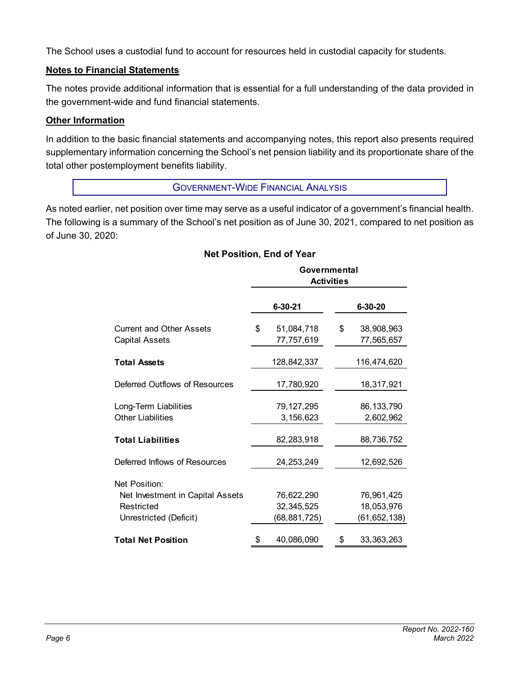The School uses a custodial fund to account for resources held in custodial capacity for students.

#### **Notes to Financial Statements**

The notes provide additional information that is essential for a full understanding of the data provided in the government-wide and fund financial statements.

#### **Other Information**

In addition to the basic financial statements and accompanying notes, this report also presents required supplementary information concerning the School's net pension liability and its proportionate share of the total other postemployment benefits liability.

#### GOVERNMENT-WIDE FINANCIAL ANALYSIS

As noted earlier, net position over time may serve as a useful indicator of a government's financial health. The following is a summary of the School's net position as of June 30, 2021, compared to net position as of June 30, 2020:

#### **Net Position, End of Year**

|                                                                                           | Governmental<br><b>Activities</b> |                                          |    |                                            |
|-------------------------------------------------------------------------------------------|-----------------------------------|------------------------------------------|----|--------------------------------------------|
|                                                                                           |                                   | 6-30-21                                  |    | 6-30-20                                    |
| <b>Current and Other Assets</b><br><b>Capital Assets</b>                                  | \$                                | 51,084,718<br>77,757,619                 | \$ | 38,908,963<br>77,565,657                   |
| <b>Total Assets</b>                                                                       |                                   | 128,842,337                              |    | 116,474,620                                |
| Deferred Outflows of Resources                                                            |                                   | 17,780,920                               |    | 18,317,921                                 |
| Long-Term Liabilities<br><b>Other Liabilities</b>                                         |                                   | 79, 127, 295<br>3,156,623                |    | 86, 133, 790<br>2,602,962                  |
| <b>Total Liabilities</b>                                                                  |                                   | 82,283,918                               |    | 88,736,752                                 |
| Deferred Inflows of Resources                                                             |                                   | 24,253,249                               |    | 12,692,526                                 |
| Net Position:<br>Net Investment in Capital Assets<br>Restricted<br>Unrestricted (Deficit) |                                   | 76,622,290<br>32,345,525<br>(68,881,725) |    | 76,961,425<br>18,053,976<br>(61, 652, 138) |
| <b>Total Net Position</b>                                                                 | \$                                | 40,086,090                               | \$ | 33, 363, 263                               |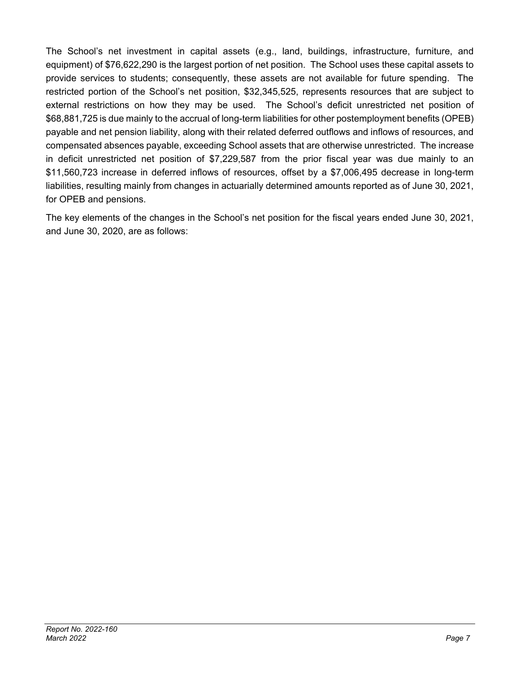The School's net investment in capital assets (e.g., land, buildings, infrastructure, furniture, and equipment) of \$76,622,290 is the largest portion of net position. The School uses these capital assets to provide services to students; consequently, these assets are not available for future spending. The restricted portion of the School's net position, \$32,345,525, represents resources that are subject to external restrictions on how they may be used. The School's deficit unrestricted net position of \$68,881,725 is due mainly to the accrual of long-term liabilities for other postemployment benefits (OPEB) payable and net pension liability, along with their related deferred outflows and inflows of resources, and compensated absences payable, exceeding School assets that are otherwise unrestricted. The increase in deficit unrestricted net position of \$7,229,587 from the prior fiscal year was due mainly to an \$11,560,723 increase in deferred inflows of resources, offset by a \$7,006,495 decrease in long-term liabilities, resulting mainly from changes in actuarially determined amounts reported as of June 30, 2021, for OPEB and pensions.

The key elements of the changes in the School's net position for the fiscal years ended June 30, 2021, and June 30, 2020, are as follows: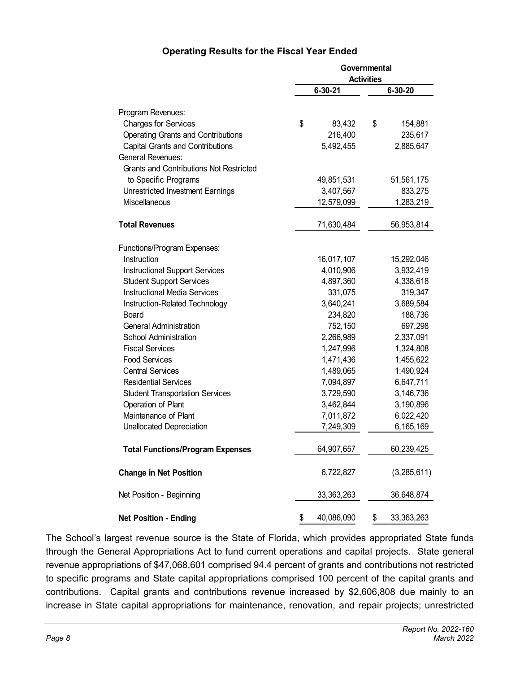#### **Operating Results for the Fiscal Year Ended**

|                                                | Governmental<br><b>Activities</b> |               |    |             |
|------------------------------------------------|-----------------------------------|---------------|----|-------------|
|                                                |                                   | $6 - 30 - 21$ |    | 6-30-20     |
|                                                |                                   |               |    |             |
| Program Revenues:                              |                                   |               |    |             |
| <b>Charges for Services</b>                    | \$                                | 83,432        | \$ | 154,881     |
| <b>Operating Grants and Contributions</b>      |                                   | 216,400       |    | 235,617     |
| Capital Grants and Contributions               |                                   | 5,492,455     |    | 2,885,647   |
| <b>General Revenues:</b>                       |                                   |               |    |             |
| <b>Grants and Contributions Not Restricted</b> |                                   |               |    |             |
| to Specific Programs                           |                                   | 49,851,531    |    | 51,561,175  |
| Unrestricted Investment Earnings               |                                   | 3,407,567     |    | 833,275     |
| <b>Miscellaneous</b>                           |                                   | 12,579,099    |    | 1,283,219   |
| <b>Total Revenues</b>                          |                                   | 71,630,484    |    | 56,953,814  |
| Functions/Program Expenses:                    |                                   |               |    |             |
| Instruction                                    |                                   | 16,017,107    |    | 15,292,046  |
| <b>Instructional Support Services</b>          |                                   | 4,010,906     |    | 3,932,419   |
| <b>Student Support Services</b>                |                                   | 4,897,360     |    | 4,338,618   |
| <b>Instructional Media Services</b>            |                                   | 331,075       |    | 319,347     |
| Instruction-Related Technology                 |                                   | 3,640,241     |    | 3,689,584   |
| Board                                          |                                   | 234,820       |    | 188,736     |
| <b>General Administration</b>                  |                                   | 752,150       |    | 697,298     |
| <b>School Administration</b>                   |                                   | 2,266,989     |    | 2,337,091   |
| <b>Fiscal Services</b>                         |                                   | 1,247,996     |    | 1,324,808   |
| <b>Food Services</b>                           |                                   | 1,471,436     |    | 1,455,622   |
| <b>Central Services</b>                        |                                   | 1,489,065     |    | 1,490,924   |
| <b>Residential Services</b>                    |                                   | 7,094,897     |    | 6,647,711   |
| <b>Student Transportation Services</b>         |                                   | 3,729,590     |    | 3,146,736   |
| Operation of Plant                             |                                   | 3,462,844     |    | 3,190,896   |
| Maintenance of Plant                           |                                   | 7,011,872     |    | 6,022,420   |
| Unallocated Depreciation                       |                                   | 7,249,309     |    | 6,165,169   |
| Total Functions/Program Expenses               |                                   | 64,907,657    |    | 60,239,425  |
| <b>Change in Net Position</b>                  |                                   | 6,722,827     |    | (3,285,611) |
| Net Position - Beginning                       |                                   | 33,363,263    |    | 36,648,874  |
| <b>Net Position - Ending</b>                   | \$                                | 40,086,090    | \$ | 33,363,263  |

The School's largest revenue source is the State of Florida, which provides appropriated State funds through the General Appropriations Act to fund current operations and capital projects. State general revenue appropriations of \$47,068,601 comprised 94.4 percent of grants and contributions not restricted to specific programs and State capital appropriations comprised 100 percent of the capital grants and contributions. Capital grants and contributions revenue increased by \$2,606,808 due mainly to an increase in State capital appropriations for maintenance, renovation, and repair projects; unrestricted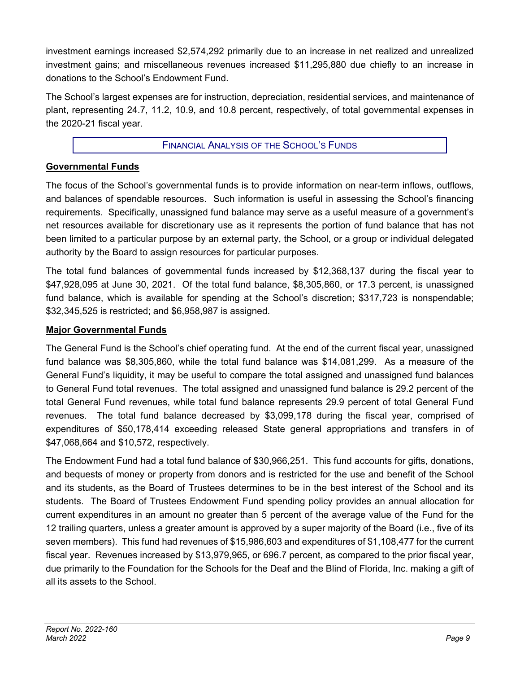investment earnings increased \$2,574,292 primarily due to an increase in net realized and unrealized investment gains; and miscellaneous revenues increased \$11,295,880 due chiefly to an increase in donations to the School's Endowment Fund.

The School's largest expenses are for instruction, depreciation, residential services, and maintenance of plant, representing 24.7, 11.2, 10.9, and 10.8 percent, respectively, of total governmental expenses in the 2020-21 fiscal year.

#### FINANCIAL ANALYSIS OF THE SCHOOL'S FUNDS

#### **Governmental Funds**

The focus of the School's governmental funds is to provide information on near-term inflows, outflows, and balances of spendable resources. Such information is useful in assessing the School's financing requirements. Specifically, unassigned fund balance may serve as a useful measure of a government's net resources available for discretionary use as it represents the portion of fund balance that has not been limited to a particular purpose by an external party, the School, or a group or individual delegated authority by the Board to assign resources for particular purposes.

The total fund balances of governmental funds increased by \$12,368,137 during the fiscal year to \$47,928,095 at June 30, 2021. Of the total fund balance, \$8,305,860, or 17.3 percent, is unassigned fund balance, which is available for spending at the School's discretion; \$317,723 is nonspendable; \$32,345,525 is restricted; and \$6,958,987 is assigned.

#### **Major Governmental Funds**

The General Fund is the School's chief operating fund. At the end of the current fiscal year, unassigned fund balance was \$8,305,860, while the total fund balance was \$14,081,299. As a measure of the General Fund's liquidity, it may be useful to compare the total assigned and unassigned fund balances to General Fund total revenues. The total assigned and unassigned fund balance is 29.2 percent of the total General Fund revenues, while total fund balance represents 29.9 percent of total General Fund revenues. The total fund balance decreased by \$3,099,178 during the fiscal year, comprised of expenditures of \$50,178,414 exceeding released State general appropriations and transfers in of \$47,068,664 and \$10,572, respectively.

The Endowment Fund had a total fund balance of \$30,966,251. This fund accounts for gifts, donations, and bequests of money or property from donors and is restricted for the use and benefit of the School and its students, as the Board of Trustees determines to be in the best interest of the School and its students. The Board of Trustees Endowment Fund spending policy provides an annual allocation for current expenditures in an amount no greater than 5 percent of the average value of the Fund for the 12 trailing quarters, unless a greater amount is approved by a super majority of the Board (i.e., five of its seven members). This fund had revenues of \$15,986,603 and expenditures of \$1,108,477 for the current fiscal year. Revenues increased by \$13,979,965, or 696.7 percent, as compared to the prior fiscal year, due primarily to the Foundation for the Schools for the Deaf and the Blind of Florida, Inc. making a gift of all its assets to the School.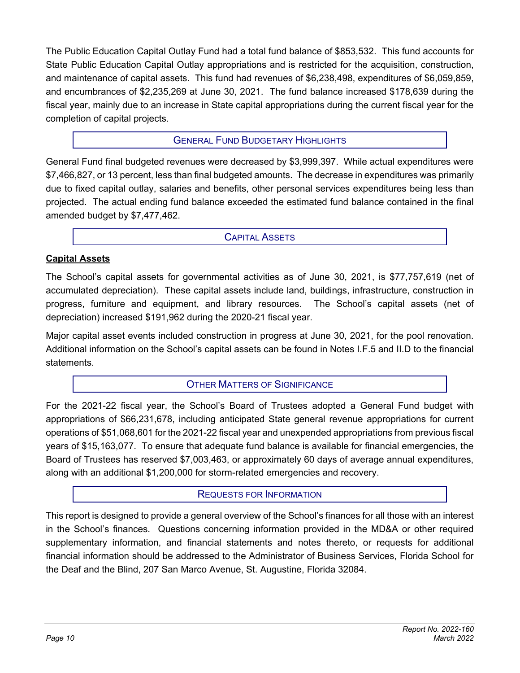The Public Education Capital Outlay Fund had a total fund balance of \$853,532. This fund accounts for State Public Education Capital Outlay appropriations and is restricted for the acquisition, construction, and maintenance of capital assets. This fund had revenues of \$6,238,498, expenditures of \$6,059,859, and encumbrances of \$2,235,269 at June 30, 2021. The fund balance increased \$178,639 during the fiscal year, mainly due to an increase in State capital appropriations during the current fiscal year for the completion of capital projects.

#### GENERAL FUND BUDGETARY HIGHLIGHTS

General Fund final budgeted revenues were decreased by \$3,999,397. While actual expenditures were \$7,466,827, or 13 percent, less than final budgeted amounts. The decrease in expenditures was primarily due to fixed capital outlay, salaries and benefits, other personal services expenditures being less than projected. The actual ending fund balance exceeded the estimated fund balance contained in the final amended budget by \$7,477,462.

#### CAPITAL ASSETS

#### **Capital Assets**

The School's capital assets for governmental activities as of June 30, 2021, is \$77,757,619 (net of accumulated depreciation). These capital assets include land, buildings, infrastructure, construction in progress, furniture and equipment, and library resources. The School's capital assets (net of depreciation) increased \$191,962 during the 2020-21 fiscal year.

Major capital asset events included construction in progress at June 30, 2021, for the pool renovation. Additional information on the School's capital assets can be found in Notes I.F.5 and II.D to the financial statements.

#### **OTHER MATTERS OF SIGNIFICANCE**

For the 2021-22 fiscal year, the School's Board of Trustees adopted a General Fund budget with appropriations of \$66,231,678, including anticipated State general revenue appropriations for current operations of \$51,068,601 for the 2021-22 fiscal year and unexpended appropriations from previous fiscal years of \$15,163,077. To ensure that adequate fund balance is available for financial emergencies, the Board of Trustees has reserved \$7,003,463, or approximately 60 days of average annual expenditures, along with an additional \$1,200,000 for storm-related emergencies and recovery.

#### REQUESTS FOR INFORMATION

This report is designed to provide a general overview of the School's finances for all those with an interest in the School's finances. Questions concerning information provided in the MD&A or other required supplementary information, and financial statements and notes thereto, or requests for additional financial information should be addressed to the Administrator of Business Services, Florida School for the Deaf and the Blind, 207 San Marco Avenue, St. Augustine, Florida 32084.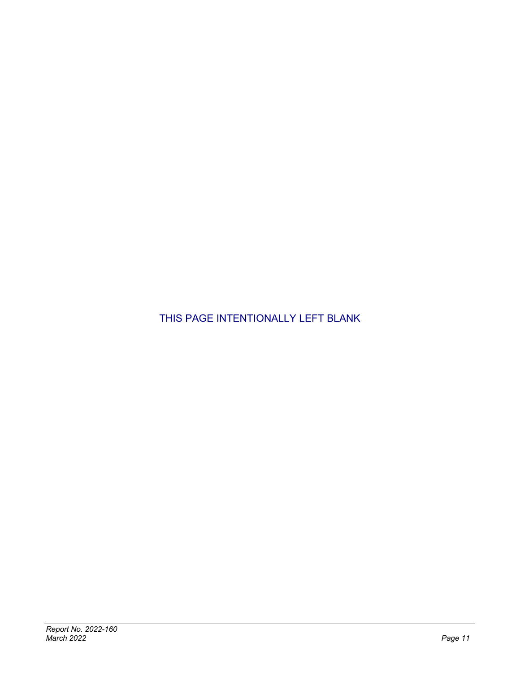THIS PAGE INTENTIONALLY LEFT BLANK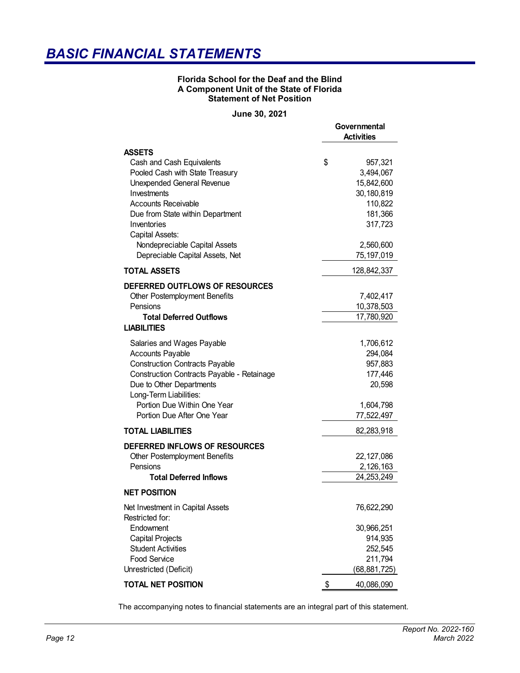## <span id="page-16-0"></span>*BASIC FINANCIAL STATEMENTS*

#### **Florida School for the Deaf and the Blind A Component Unit of the State of Florida Statement of Net Position**

**June 30, 2021** 

|                                                  | Governmental<br><b>Activities</b> |
|--------------------------------------------------|-----------------------------------|
|                                                  |                                   |
| <b>ASSETS</b>                                    |                                   |
| Cash and Cash Equivalents                        | \$<br>957,321                     |
| Pooled Cash with State Treasury                  | 3,494,067                         |
| Unexpended General Revenue<br>Investments        | 15,842,600<br>30,180,819          |
| <b>Accounts Receivable</b>                       | 110,822                           |
| Due from State within Department                 | 181,366                           |
| Inventories                                      | 317,723                           |
| Capital Assets:                                  |                                   |
| Nondepreciable Capital Assets                    | 2,560,600                         |
| Depreciable Capital Assets, Net                  | 75, 197, 019                      |
| <b>TOTAL ASSETS</b>                              | 128,842,337                       |
|                                                  |                                   |
| DEFERRED OUTFLOWS OF RESOURCES                   |                                   |
| <b>Other Postemployment Benefits</b><br>Pensions | 7,402,417                         |
| <b>Total Deferred Outflows</b>                   | 10,378,503<br>17,780,920          |
| <b>LIABILITIES</b>                               |                                   |
|                                                  |                                   |
| Salaries and Wages Payable                       | 1,706,612                         |
| <b>Accounts Payable</b>                          | 294,084                           |
| <b>Construction Contracts Payable</b>            | 957,883                           |
| Construction Contracts Payable - Retainage       | 177,446                           |
| Due to Other Departments                         | 20,598                            |
| Long-Term Liabilities:                           |                                   |
| Portion Due Within One Year                      | 1,604,798                         |
| Portion Due After One Year                       | 77,522,497                        |
| <b>TOTAL LIABILITIES</b>                         | 82,283,918                        |
| DEFERRED INFLOWS OF RESOURCES                    |                                   |
| <b>Other Postemployment Benefits</b>             | 22, 127, 086                      |
| Pensions                                         | 2,126,163                         |
| <b>Total Deferred Inflows</b>                    | 24,253,249                        |
| <b>NET POSITION</b>                              |                                   |
| Net Investment in Capital Assets                 | 76,622,290                        |
| Restricted for:                                  |                                   |
| Endowment                                        | 30,966,251                        |
| <b>Capital Projects</b>                          | 914,935                           |
| <b>Student Activities</b>                        | 252,545                           |
| <b>Food Service</b>                              | 211,794                           |
| Unrestricted (Deficit)                           | (68, 881, 725)                    |
| <b>TOTAL NET POSITION</b>                        | \$<br>40,086,090                  |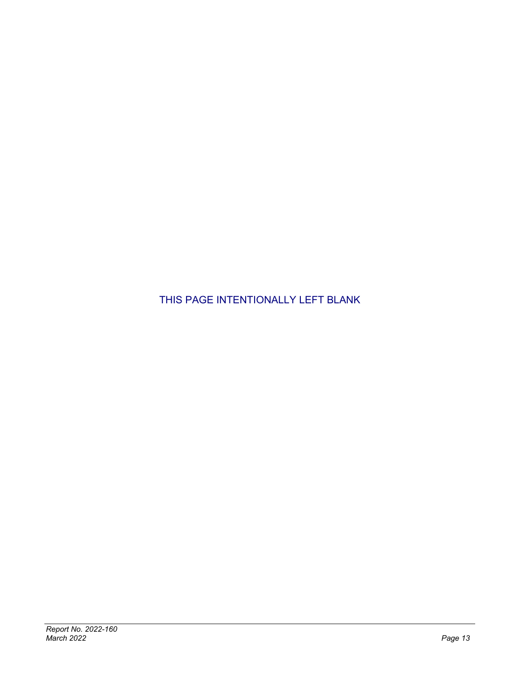THIS PAGE INTENTIONALLY LEFT BLANK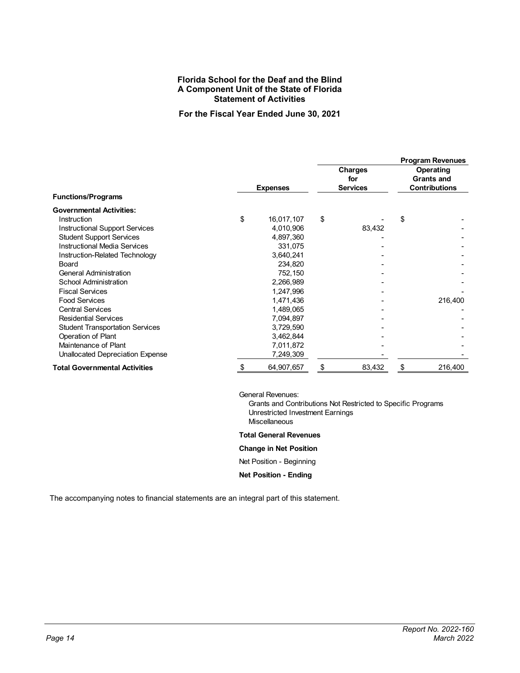#### **Florida School for the Deaf and the Blind A Component Unit of the State of Florida Statement of Activities**

**For the Fiscal Year Ended June 30, 2021** 

<span id="page-18-0"></span>

|                                        |                  |                                   | <b>Program Revenues</b>                                |
|----------------------------------------|------------------|-----------------------------------|--------------------------------------------------------|
|                                        | <b>Expenses</b>  | Charges<br>for<br><b>Services</b> | Operating<br><b>Grants and</b><br><b>Contributions</b> |
| <b>Functions/Programs</b>              |                  |                                   |                                                        |
| <b>Governmental Activities:</b>        |                  |                                   |                                                        |
| Instruction                            | \$<br>16,017,107 | \$                                | \$                                                     |
| <b>Instructional Support Services</b>  | 4,010,906        | 83,432                            |                                                        |
| <b>Student Support Services</b>        | 4,897,360        |                                   |                                                        |
| <b>Instructional Media Services</b>    | 331,075          |                                   |                                                        |
| Instruction-Related Technology         | 3,640,241        |                                   |                                                        |
| Board                                  | 234,820          |                                   |                                                        |
| <b>General Administration</b>          | 752,150          |                                   |                                                        |
| School Administration                  | 2,266,989        |                                   |                                                        |
| <b>Fiscal Services</b>                 | 1,247,996        |                                   |                                                        |
| <b>Food Services</b>                   | 1,471,436        |                                   | 216,400                                                |
| <b>Central Services</b>                | 1,489,065        |                                   |                                                        |
| <b>Residential Services</b>            | 7,094,897        |                                   |                                                        |
| <b>Student Transportation Services</b> | 3,729,590        |                                   |                                                        |
| Operation of Plant                     | 3,462,844        |                                   |                                                        |
| Maintenance of Plant                   | 7,011,872        |                                   |                                                        |
| Unallocated Depreciation Expense       | 7,249,309        |                                   |                                                        |
| <b>Total Governmental Activities</b>   | \$<br>64,907,657 | \$<br>83,432                      | \$<br>216,400                                          |

#### General Revenues:

Grants and Contributions Not Restricted to Specific Programs Unrestricted Investment Earnings Miscellaneous

#### **Total General Revenues**

**Change in Net Position**

Net Position - Beginning

**Net Position - Ending**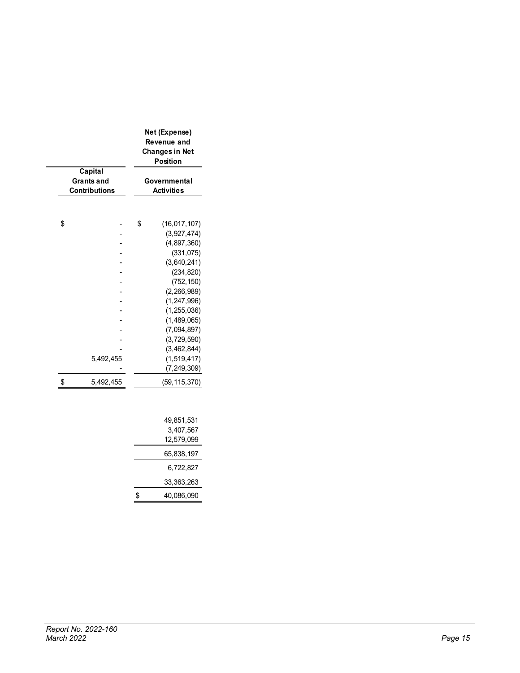|                                               | Net (Expense)<br>Revenue and<br><b>Changes in Net</b><br><b>Position</b> |                |  |
|-----------------------------------------------|--------------------------------------------------------------------------|----------------|--|
| Capital<br><b>Grants and</b><br>Contributions | Governmental<br><b>Activities</b>                                        |                |  |
|                                               |                                                                          |                |  |
| \$                                            | \$                                                                       | (16, 017, 107) |  |
|                                               |                                                                          | (3,927,474)    |  |
|                                               |                                                                          | (4, 897, 360)  |  |
|                                               |                                                                          | (331, 075)     |  |
|                                               |                                                                          | (3,640,241)    |  |
|                                               |                                                                          | (234, 820)     |  |
|                                               |                                                                          | (752, 150)     |  |
|                                               |                                                                          | (2, 266, 989)  |  |
|                                               |                                                                          | (1, 247, 996)  |  |
|                                               |                                                                          | (1, 255, 036)  |  |
|                                               |                                                                          | (1,489,065)    |  |
|                                               |                                                                          | (7,094,897)    |  |
|                                               |                                                                          | (3,729,590)    |  |
|                                               |                                                                          | (3, 462, 844)  |  |
| 5,492,455                                     |                                                                          | (1,519,417)    |  |
|                                               |                                                                          | (7, 249, 309)  |  |
| \$<br>5,492,455                               |                                                                          | (59, 115, 370) |  |

| 49,851,531       |
|------------------|
| 3.407.567        |
| 12,579,099       |
| 65.838.197       |
| 6.722.827        |
| 33.363.263       |
| \$<br>40,086,090 |
|                  |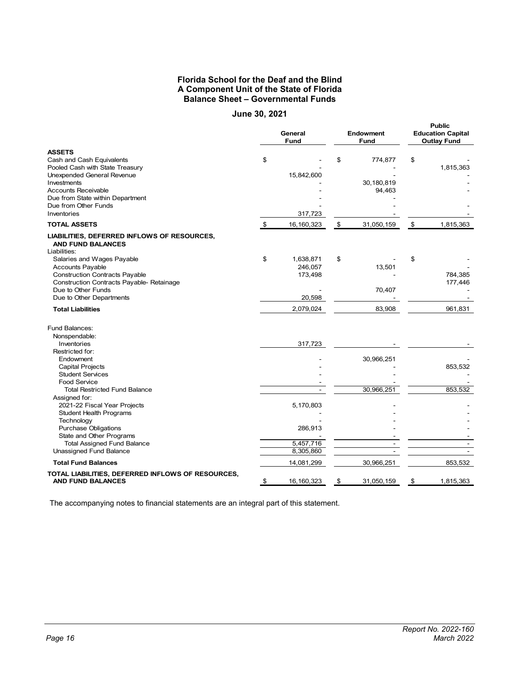#### **Florida School for the Deaf and the Blind A Component Unit of the State of Florida Balance Sheet – Governmental Funds**

#### **June 30, 2021**

<span id="page-20-0"></span>

|                                                                  | General<br><b>Fund</b> | <b>Endowment</b><br><b>Fund</b> |               | <b>Public</b><br><b>Education Capital</b><br><b>Outlay Fund</b> |
|------------------------------------------------------------------|------------------------|---------------------------------|---------------|-----------------------------------------------------------------|
| <b>ASSETS</b>                                                    |                        |                                 |               |                                                                 |
| Cash and Cash Equivalents                                        | \$                     | \$<br>774,877                   | \$            |                                                                 |
| Pooled Cash with State Treasury                                  |                        |                                 |               | 1,815,363                                                       |
| Unexpended General Revenue                                       | 15,842,600             |                                 |               |                                                                 |
| Investments                                                      |                        | 30,180,819                      |               |                                                                 |
| <b>Accounts Receivable</b>                                       |                        | 94,463                          |               |                                                                 |
| Due from State within Department                                 |                        |                                 |               |                                                                 |
| Due from Other Funds                                             |                        |                                 |               |                                                                 |
| Inventories                                                      | 317,723                |                                 |               |                                                                 |
| <b>TOTAL ASSETS</b>                                              | \$<br>16, 160, 323     | \$<br>31,050,159                | $\frac{1}{2}$ | 1,815,363                                                       |
| LIABILITIES, DEFERRED INFLOWS OF RESOURCES,<br>AND FUND BALANCES |                        |                                 |               |                                                                 |
| Liabilities:                                                     |                        |                                 |               |                                                                 |
| Salaries and Wages Payable                                       | \$<br>1,638,871        | \$                              | \$            |                                                                 |
| <b>Accounts Payable</b><br><b>Construction Contracts Payable</b> | 246,057<br>173,498     | 13,501                          |               | 784,385                                                         |
| <b>Construction Contracts Payable- Retainage</b>                 |                        |                                 |               | 177,446                                                         |
| Due to Other Funds                                               |                        | 70,407                          |               |                                                                 |
| Due to Other Departments                                         | 20,598                 |                                 |               |                                                                 |
| <b>Total Liabilities</b>                                         | 2,079,024              | 83,908                          |               | 961,831                                                         |
|                                                                  |                        |                                 |               |                                                                 |
| <b>Fund Balances:</b>                                            |                        |                                 |               |                                                                 |
| Nonspendable:<br>Inventories                                     | 317,723                |                                 |               |                                                                 |
| Restricted for:                                                  |                        |                                 |               |                                                                 |
| Endowment                                                        |                        | 30,966,251                      |               |                                                                 |
| Capital Projects                                                 |                        |                                 |               | 853,532                                                         |
| <b>Student Services</b>                                          |                        |                                 |               |                                                                 |
| <b>Food Service</b>                                              |                        |                                 |               |                                                                 |
| <b>Total Restricted Fund Balance</b>                             |                        | 30,966,251                      |               | 853,532                                                         |
| Assigned for:                                                    |                        |                                 |               |                                                                 |
| 2021-22 Fiscal Year Projects                                     | 5,170,803              |                                 |               |                                                                 |
| <b>Student Health Programs</b>                                   |                        |                                 |               |                                                                 |
| Technology                                                       |                        |                                 |               |                                                                 |
| <b>Purchase Obligations</b>                                      | 286,913                |                                 |               |                                                                 |
| State and Other Programs<br><b>Total Assigned Fund Balance</b>   | 5,457,716              |                                 |               |                                                                 |
| <b>Unassigned Fund Balance</b>                                   | 8,305,860              |                                 |               | $\sim$                                                          |
| <b>Total Fund Balances</b>                                       | 14,081,299             | 30,966,251                      |               | 853,532                                                         |
| TOTAL LIABILITIES, DEFERRED INFLOWS OF RESOURCES,                |                        |                                 |               |                                                                 |
| <b>AND FUND BALANCES</b>                                         | \$<br>16, 160, 323     | \$<br>31,050,159                | \$            | 1,815,363                                                       |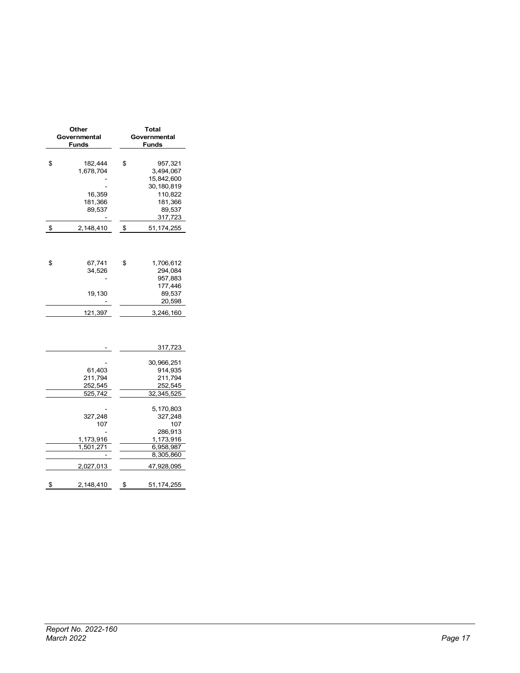| Other                 | Total                        |                  |  |  |
|-----------------------|------------------------------|------------------|--|--|
| Governmental<br>Funds | Governmental<br><b>Funds</b> |                  |  |  |
|                       |                              |                  |  |  |
| \$<br>182,444         | \$                           | 957,321          |  |  |
| 1,678,704             |                              | 3,494,067        |  |  |
|                       |                              | 15,842,600       |  |  |
|                       |                              | 30,180,819       |  |  |
| 16,359                |                              | 110,822          |  |  |
| 181,366               |                              | 181,366          |  |  |
| 89,537                |                              | 89,537           |  |  |
|                       |                              | 317,723          |  |  |
| \$<br>2,148,410       | \$                           | 51, 174, 255     |  |  |
|                       |                              |                  |  |  |
| \$<br>67,741          | \$                           | 1,706,612        |  |  |
| 34,526                |                              | 294,084          |  |  |
|                       |                              | 957,883          |  |  |
|                       |                              | 177,446          |  |  |
| 19,130                |                              | 89,537<br>20,598 |  |  |
|                       |                              |                  |  |  |
| 121,397               |                              | 3,246,160        |  |  |
|                       |                              |                  |  |  |
|                       |                              | 317,723          |  |  |
|                       |                              | 30,966,251       |  |  |
| 61,403                |                              | 914,935          |  |  |
| 211,794               |                              | 211,794          |  |  |
| 252,545               |                              | 252,545          |  |  |
| 525,742               |                              | 32,345,525       |  |  |
|                       |                              | 5,170,803        |  |  |
| 327,248               |                              | 327,248          |  |  |
| 107                   |                              | 107              |  |  |
|                       |                              | 286,913          |  |  |
| 1,173,916             |                              | 1,173,916        |  |  |
| 1,501,271             |                              | 6,958,987        |  |  |
|                       |                              | 8,305,860        |  |  |
| 2,027,013             |                              | 47,928,095       |  |  |
| \$<br>2,148,410       | \$                           | 51, 174, 255     |  |  |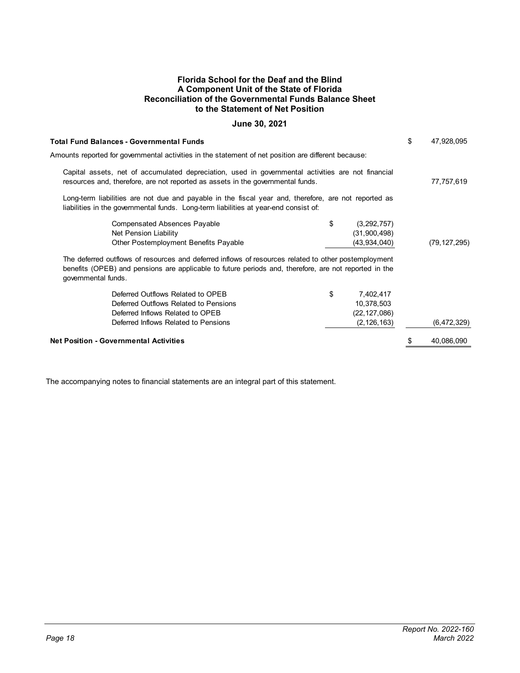#### **Florida School for the Deaf and the Blind A Component Unit of the State of Florida Reconciliation of the Governmental Funds Balance Sheet to the Statement of Net Position**

#### **June 30, 2021**

<span id="page-22-0"></span>

| <b>Total Fund Balances - Governmental Funds</b>                                                                                                                                                                                      |                                | \$<br>47,928,095 |
|--------------------------------------------------------------------------------------------------------------------------------------------------------------------------------------------------------------------------------------|--------------------------------|------------------|
| Amounts reported for governmental activities in the statement of net position are different because:                                                                                                                                 |                                |                  |
| Capital assets, net of accumulated depreciation, used in governmental activities are not financial<br>resources and, therefore, are not reported as assets in the governmental funds.                                                |                                | 77,757,619       |
| Long-term liabilities are not due and payable in the fiscal year and, therefore, are not reported as<br>liabilities in the governmental funds. Long-term liabilities at year-end consist of:                                         |                                |                  |
| <b>Compensated Absences Payable</b>                                                                                                                                                                                                  | \$<br>(3, 292, 757)            |                  |
| Net Pension Liability<br><b>Other Postemployment Benefits Payable</b>                                                                                                                                                                | (31,900,498)<br>(43, 934, 040) | (79, 127, 295)   |
| The deferred outflows of resources and deferred inflows of resources related to other postemployment<br>benefits (OPEB) and pensions are applicable to future periods and, therefore, are not reported in the<br>governmental funds. |                                |                  |
| Deferred Outflows Related to OPEB                                                                                                                                                                                                    | \$<br>7,402,417                |                  |
| Deferred Outflows Related to Pensions                                                                                                                                                                                                | 10,378,503                     |                  |
| Deferred Inflows Related to OPEB                                                                                                                                                                                                     | (22, 127, 086)                 |                  |
| Deferred Inflows Related to Pensions                                                                                                                                                                                                 | (2, 126, 163)                  | (6,472,329)      |
| <b>Net Position - Governmental Activities</b>                                                                                                                                                                                        |                                | 40,086,090       |
|                                                                                                                                                                                                                                      |                                |                  |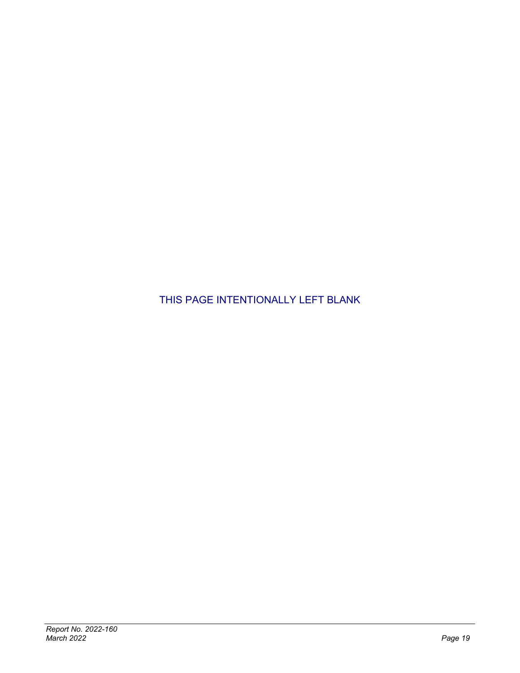THIS PAGE INTENTIONALLY LEFT BLANK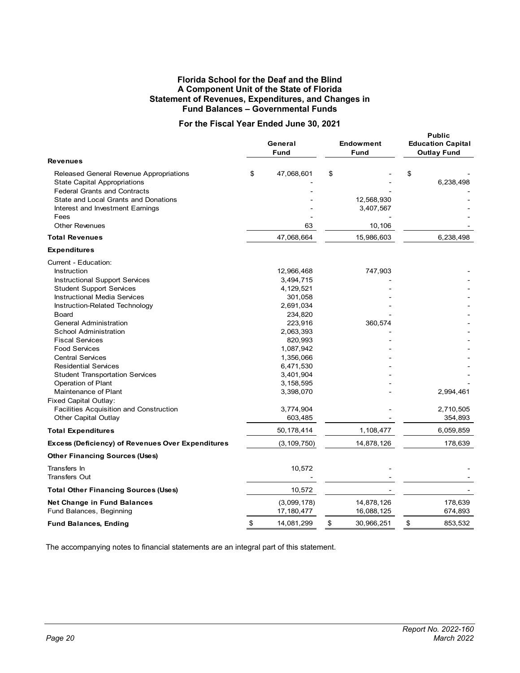#### **Florida School for the Deaf and the Blind A Component Unit of the State of Florida Statement of Revenues, Expenditures, and Changes in Fund Balances – Governmental Funds**

#### **For the Fiscal Year Ended June 30, 2021**

<span id="page-24-0"></span>

| Fund                                                                                                                  |    | General                   | <b>Endowment</b><br>Fund |                          | <b>Public</b><br><b>Education Capital</b><br><b>Outlay Fund</b> |                    |
|-----------------------------------------------------------------------------------------------------------------------|----|---------------------------|--------------------------|--------------------------|-----------------------------------------------------------------|--------------------|
| <b>Revenues</b>                                                                                                       |    |                           |                          |                          |                                                                 |                    |
| Released General Revenue Appropriations<br><b>State Capital Appropriations</b><br><b>Federal Grants and Contracts</b> | \$ | 47,068,601                | \$                       |                          | \$                                                              | 6,238,498          |
| State and Local Grants and Donations<br>Interest and Investment Earnings<br>Fees                                      |    |                           |                          | 12,568,930<br>3,407,567  |                                                                 |                    |
| <b>Other Revenues</b>                                                                                                 |    | 63                        |                          | 10,106                   |                                                                 |                    |
| <b>Total Revenues</b>                                                                                                 |    | 47,068,664                |                          | 15,986,603               |                                                                 | 6,238,498          |
| <b>Expenditures</b>                                                                                                   |    |                           |                          |                          |                                                                 |                    |
| Current - Education:                                                                                                  |    |                           |                          |                          |                                                                 |                    |
| Instruction                                                                                                           |    | 12,966,468                |                          | 747,903                  |                                                                 |                    |
| <b>Instructional Support Services</b>                                                                                 |    | 3,494,715                 |                          |                          |                                                                 |                    |
| <b>Student Support Services</b>                                                                                       |    | 4,129,521                 |                          |                          |                                                                 |                    |
| <b>Instructional Media Services</b>                                                                                   |    | 301,058                   |                          |                          |                                                                 |                    |
| Instruction-Related Technology                                                                                        |    | 2,691,034                 |                          |                          |                                                                 |                    |
| <b>Board</b>                                                                                                          |    | 234,820                   |                          |                          |                                                                 |                    |
| <b>General Administration</b>                                                                                         |    | 223,916                   |                          | 360,574                  |                                                                 |                    |
| <b>School Administration</b>                                                                                          |    | 2,063,393                 |                          |                          |                                                                 |                    |
| <b>Fiscal Services</b><br><b>Food Services</b>                                                                        |    | 820,993<br>1,087,942      |                          |                          |                                                                 |                    |
| <b>Central Services</b>                                                                                               |    | 1,356,066                 |                          |                          |                                                                 |                    |
| <b>Residential Services</b>                                                                                           |    | 6,471,530                 |                          |                          |                                                                 |                    |
| <b>Student Transportation Services</b>                                                                                |    | 3,401,904                 |                          |                          |                                                                 |                    |
| Operation of Plant                                                                                                    |    | 3,158,595                 |                          |                          |                                                                 |                    |
| Maintenance of Plant                                                                                                  |    | 3,398,070                 |                          |                          |                                                                 | 2,994,461          |
| Fixed Capital Outlay:                                                                                                 |    |                           |                          |                          |                                                                 |                    |
| <b>Facilities Acquisition and Construction</b>                                                                        |    | 3,774,904                 |                          |                          |                                                                 | 2,710,505          |
| <b>Other Capital Outlay</b>                                                                                           |    | 603,485                   |                          |                          |                                                                 | 354,893            |
| <b>Total Expenditures</b>                                                                                             |    | 50,178,414                |                          | 1,108,477                |                                                                 | 6,059,859          |
| <b>Excess (Deficiency) of Revenues Over Expenditures</b>                                                              |    | (3, 109, 750)             |                          | 14,878,126               |                                                                 | 178,639            |
| <b>Other Financing Sources (Uses)</b>                                                                                 |    |                           |                          |                          |                                                                 |                    |
| Transfers In<br><b>Transfers Out</b>                                                                                  |    | 10,572                    |                          |                          |                                                                 |                    |
| <b>Total Other Financing Sources (Uses)</b>                                                                           |    | 10,572                    |                          |                          |                                                                 |                    |
| <b>Net Change in Fund Balances</b><br>Fund Balances, Beginning                                                        |    | (3,099,178)<br>17,180,477 |                          | 14,878,126<br>16,088,125 |                                                                 | 178,639<br>674,893 |
|                                                                                                                       |    |                           |                          |                          |                                                                 |                    |
| <b>Fund Balances, Ending</b>                                                                                          | \$ | 14,081,299                | \$                       | 30,966,251               | \$                                                              | 853,532            |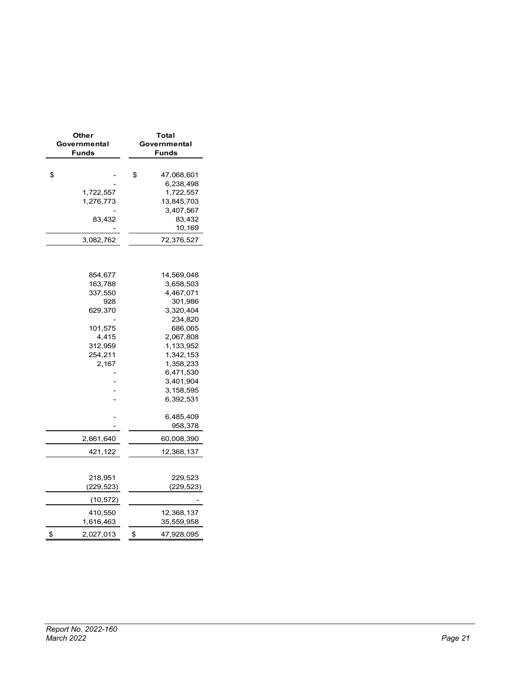| Other<br>Governmental<br><b>Funds</b> | Total<br>Governmental<br><b>Funds</b> |
|---------------------------------------|---------------------------------------|
|                                       |                                       |
| \$                                    | \$<br>47,068,601                      |
|                                       | 6,238,498                             |
| 1,722,557                             | 1,722,557                             |
| 1,276,773                             | 13,845,703                            |
|                                       | 3,407,567                             |
| 83,432                                | 83,432                                |
|                                       | 10,169                                |
| 3,082,762                             | 72,376,527                            |
|                                       |                                       |
| 854,677                               | 14,569,048                            |
| 163,788                               | 3,658,503                             |
| 337,550                               | 4,467,071                             |
| 928                                   | 301,986                               |
| 629,370                               | 3,320,404                             |
|                                       | 234,820                               |
| 101,575                               | 686,065                               |
| 4,415                                 | 2,067,808                             |
| 312,959                               | 1,133,952                             |
| 254,211<br>2,167                      | 1,342,153                             |
|                                       | 1,358,233<br>6,471,530                |
|                                       | 3,401,904                             |
|                                       | 3,158,595                             |
|                                       | 6,392,531                             |
|                                       |                                       |
|                                       | 6,485,409                             |
|                                       | 958,378                               |
| 2,661,640                             | 60,008,390                            |
| 421,122                               | 12,368,137                            |
|                                       |                                       |
| 218,951                               | 229,523                               |
| (229,523)                             | (229, 523)                            |
| (10, 572)                             |                                       |
| 410,550                               | 12,368,137                            |
| 1,616,463                             | 35,559,958                            |
| 2,027,013<br>\$                       | 47,928,095<br>\$                      |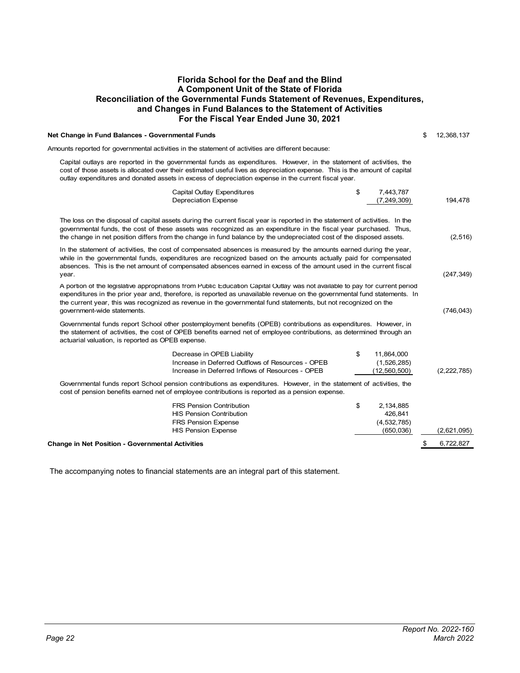#### <span id="page-26-0"></span>**Florida School for the Deaf and the Blind A Component Unit of the State of Florida Reconciliation of the Governmental Funds Statement of Revenues, Expenditures, and Changes in Fund Balances to the Statement of Activities For the Fiscal Year Ended June 30, 2021**

| Net Change in Fund Balances - Governmental Funds                                                                                                                                                                                                                                                                                                                                                            | \$<br>12,368,137 |
|-------------------------------------------------------------------------------------------------------------------------------------------------------------------------------------------------------------------------------------------------------------------------------------------------------------------------------------------------------------------------------------------------------------|------------------|
| Amounts reported for governmental activities in the statement of activities are different because:                                                                                                                                                                                                                                                                                                          |                  |
| Capital outlays are reported in the governmental funds as expenditures. However, in the statement of activities, the<br>cost of those assets is allocated over their estimated useful lives as depreciation expense. This is the amount of capital<br>outlay expenditures and donated assets in excess of depreciation expense in the current fiscal year.                                                  |                  |
| Capital Outlay Expenditures<br>\$<br>7,443,787<br><b>Depreciation Expense</b><br>(7, 249, 309)                                                                                                                                                                                                                                                                                                              | 194,478          |
| The loss on the disposal of capital assets during the current fiscal year is reported in the statement of activities. In the<br>governmental funds, the cost of these assets was recognized as an expenditure in the fiscal year purchased. Thus,<br>the change in net position differs from the change in fund balance by the undepreciated cost of the disposed assets.                                   | (2,516)          |
| In the statement of activities, the cost of compensated absences is measured by the amounts earned during the year,<br>while in the governmental funds, expenditures are recognized based on the amounts actually paid for compensated<br>absences. This is the net amount of compensated absences earned in excess of the amount used in the current fiscal<br>year.                                       | (247, 349)       |
| A portion of the legislative appropriations from Public Education Capital Outlay was not available to pay for current period<br>expenditures in the prior year and, therefore, is reported as unavailable revenue on the governmental fund statements. In<br>the current year, this was recognized as revenue in the governmental fund statements, but not recognized on the<br>government-wide statements. | (746, 043)       |
| Governmental funds report School other postemployment benefits (OPEB) contributions as expenditures. However, in<br>the statement of activities, the cost of OPEB benefits earned net of employee contributions, as determined through an<br>actuarial valuation, is reported as OPEB expense.                                                                                                              |                  |
| \$<br>11,864,000<br>Decrease in OPEB Liability<br>Increase in Deferred Outflows of Resources - OPEB<br>(1,526,285)<br>Increase in Deferred Inflows of Resources - OPEB<br>(12,560,500)                                                                                                                                                                                                                      | (2, 222, 785)    |
| Governmental funds report School pension contributions as expenditures. However, in the statement of activities, the<br>cost of pension benefits earned net of employee contributions is reported as a pension expense.                                                                                                                                                                                     |                  |
| <b>FRS Pension Contribution</b><br>\$<br>2,134,885<br><b>HIS Pension Contribution</b><br>426,841<br>(4, 532, 785)<br><b>FRS Pension Expense</b>                                                                                                                                                                                                                                                             |                  |
| <b>HIS Pension Expense</b><br>(650, 036)                                                                                                                                                                                                                                                                                                                                                                    | (2,621,095)      |
| <b>Change in Net Position - Governmental Activities</b>                                                                                                                                                                                                                                                                                                                                                     | \$<br>6,722,827  |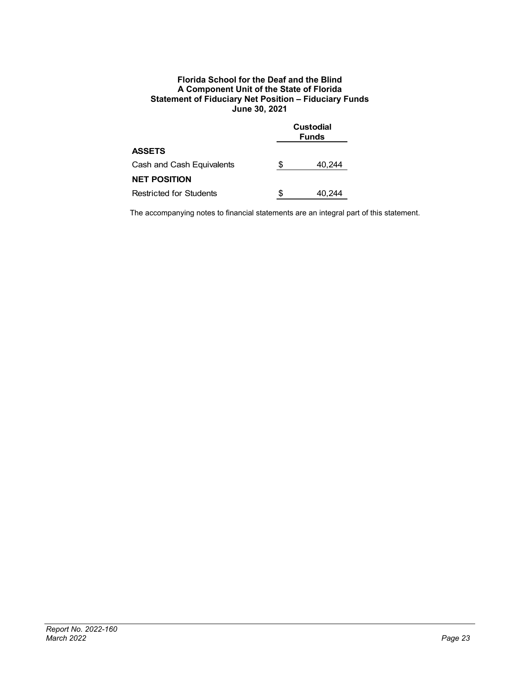#### <span id="page-27-0"></span>**Florida School for the Deaf and the Blind A Component Unit of the State of Florida Statement of Fiduciary Net Position – Fiduciary Funds June 30, 2021**

|                                |    | <b>Custodial</b><br><b>Funds</b> |
|--------------------------------|----|----------------------------------|
| <b>ASSETS</b>                  |    |                                  |
| Cash and Cash Equivalents      | S. | 40,244                           |
| <b>NET POSITION</b>            |    |                                  |
| <b>Restricted for Students</b> | S  | 40.244                           |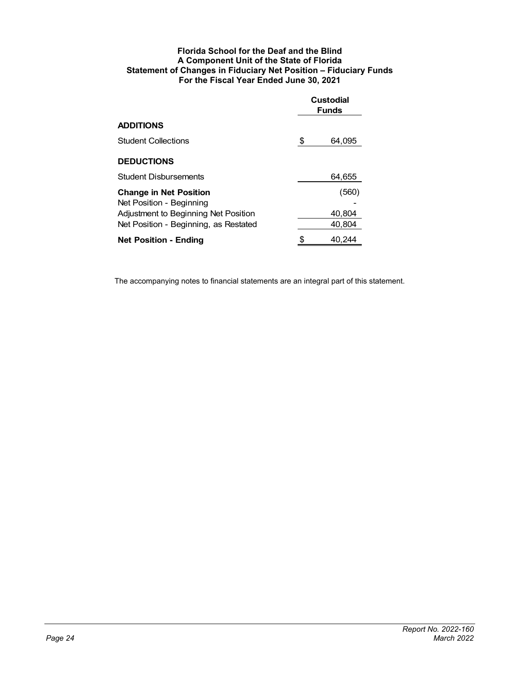#### **Florida School for the Deaf and the Blind A Component Unit of the State of Florida Statement of Changes in Fiduciary Net Position – Fiduciary Funds For the Fiscal Year Ended June 30, 2021**

|                                                                                                                                            | Custodial<br><b>Funds</b> |                           |  |
|--------------------------------------------------------------------------------------------------------------------------------------------|---------------------------|---------------------------|--|
| <b>ADDITIONS</b>                                                                                                                           |                           |                           |  |
| <b>Student Collections</b>                                                                                                                 | \$                        | 64,095                    |  |
| <b>DEDUCTIONS</b>                                                                                                                          |                           |                           |  |
| <b>Student Disbursements</b>                                                                                                               |                           | 64,655                    |  |
| <b>Change in Net Position</b><br>Net Position - Beginning<br>Adjustment to Beginning Net Position<br>Net Position - Beginning, as Restated |                           | (560)<br>40.804<br>40.804 |  |
| <b>Net Position - Ending</b>                                                                                                               |                           | 40,244                    |  |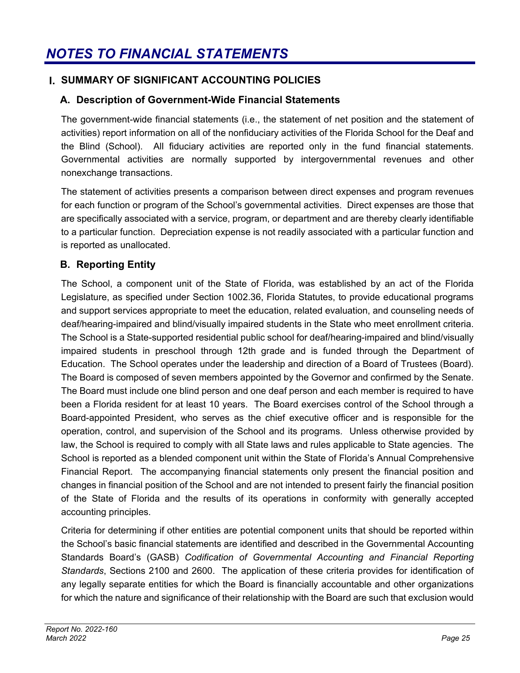### <span id="page-29-0"></span> **SUMMARY OF SIGNIFICANT ACCOUNTING POLICIES**

### **A. Description of Government-Wide Financial Statements**

The government-wide financial statements (i.e., the statement of net position and the statement of activities) report information on all of the nonfiduciary activities of the Florida School for the Deaf and the Blind (School). All fiduciary activities are reported only in the fund financial statements. Governmental activities are normally supported by intergovernmental revenues and other nonexchange transactions.

The statement of activities presents a comparison between direct expenses and program revenues for each function or program of the School's governmental activities. Direct expenses are those that are specifically associated with a service, program, or department and are thereby clearly identifiable to a particular function. Depreciation expense is not readily associated with a particular function and is reported as unallocated.

### **B. Reporting Entity**

The School, a component unit of the State of Florida, was established by an act of the Florida Legislature, as specified under Section 1002.36, Florida Statutes, to provide educational programs and support services appropriate to meet the education, related evaluation, and counseling needs of deaf/hearing-impaired and blind/visually impaired students in the State who meet enrollment criteria. The School is a State-supported residential public school for deaf/hearing-impaired and blind/visually impaired students in preschool through 12th grade and is funded through the Department of Education. The School operates under the leadership and direction of a Board of Trustees (Board). The Board is composed of seven members appointed by the Governor and confirmed by the Senate. The Board must include one blind person and one deaf person and each member is required to have been a Florida resident for at least 10 years. The Board exercises control of the School through a Board-appointed President, who serves as the chief executive officer and is responsible for the operation, control, and supervision of the School and its programs. Unless otherwise provided by law, the School is required to comply with all State laws and rules applicable to State agencies. The School is reported as a blended component unit within the State of Florida's Annual Comprehensive Financial Report. The accompanying financial statements only present the financial position and changes in financial position of the School and are not intended to present fairly the financial position of the State of Florida and the results of its operations in conformity with generally accepted accounting principles.

Criteria for determining if other entities are potential component units that should be reported within the School's basic financial statements are identified and described in the Governmental Accounting Standards Board's (GASB) *Codification of Governmental Accounting and Financial Reporting Standards*, Sections 2100 and 2600. The application of these criteria provides for identification of any legally separate entities for which the Board is financially accountable and other organizations for which the nature and significance of their relationship with the Board are such that exclusion would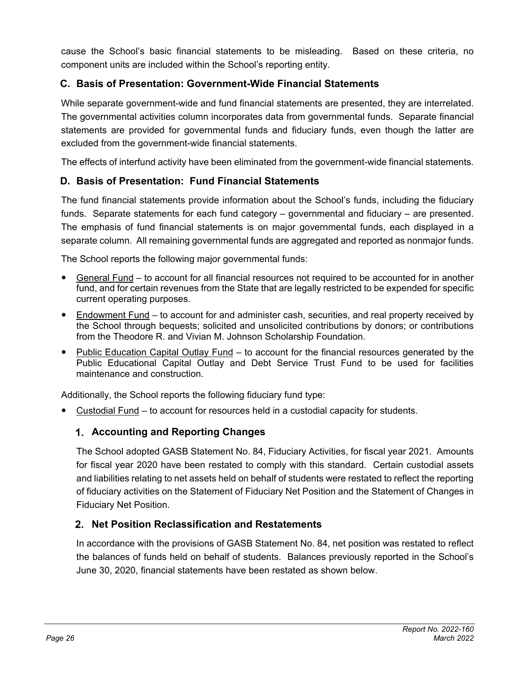cause the School's basic financial statements to be misleading. Based on these criteria, no component units are included within the School's reporting entity.

### **C. Basis of Presentation: Government-Wide Financial Statements**

While separate government-wide and fund financial statements are presented, they are interrelated. The governmental activities column incorporates data from governmental funds. Separate financial statements are provided for governmental funds and fiduciary funds, even though the latter are excluded from the government-wide financial statements.

The effects of interfund activity have been eliminated from the government-wide financial statements.

### **D. Basis of Presentation: Fund Financial Statements**

The fund financial statements provide information about the School's funds, including the fiduciary funds. Separate statements for each fund category – governmental and fiduciary – are presented. The emphasis of fund financial statements is on major governmental funds, each displayed in a separate column. All remaining governmental funds are aggregated and reported as nonmajor funds.

The School reports the following major governmental funds:

- General Fund to account for all financial resources not required to be accounted for in another fund, and for certain revenues from the State that are legally restricted to be expended for specific current operating purposes.
- Endowment Fund to account for and administer cash, securities, and real property received by the School through bequests; solicited and unsolicited contributions by donors; or contributions from the Theodore R. and Vivian M. Johnson Scholarship Foundation.
- Public Education Capital Outlay Fund to account for the financial resources generated by the Public Educational Capital Outlay and Debt Service Trust Fund to be used for facilities maintenance and construction.

Additionally, the School reports the following fiduciary fund type:

Custodial Fund – to account for resources held in a custodial capacity for students.

### **Accounting and Reporting Changes**

The School adopted GASB Statement No. 84, Fiduciary Activities, for fiscal year 2021. Amounts for fiscal year 2020 have been restated to comply with this standard. Certain custodial assets and liabilities relating to net assets held on behalf of students were restated to reflect the reporting of fiduciary activities on the Statement of Fiduciary Net Position and the Statement of Changes in Fiduciary Net Position.

### **Net Position Reclassification and Restatements**

In accordance with the provisions of GASB Statement No. 84, net position was restated to reflect the balances of funds held on behalf of students. Balances previously reported in the School's June 30, 2020, financial statements have been restated as shown below.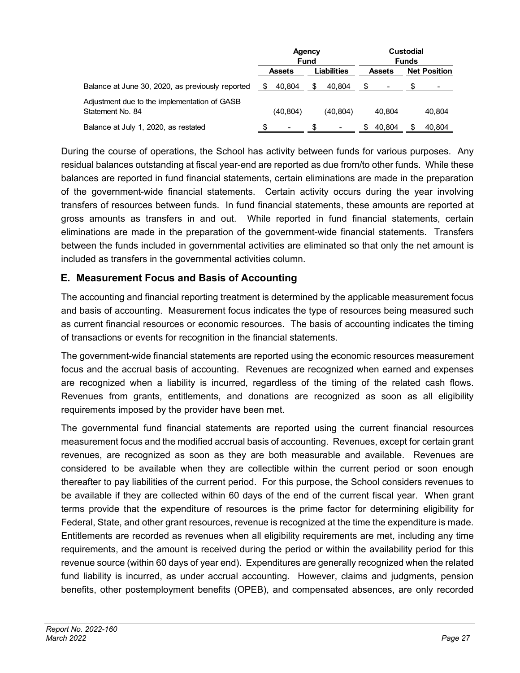|                                                                  | Agency<br><b>Fund</b> |          |   | <b>Custodial</b><br><b>Funds</b> |     |               |    |                     |
|------------------------------------------------------------------|-----------------------|----------|---|----------------------------------|-----|---------------|----|---------------------|
|                                                                  |                       | Assets   |   | Liabilities                      |     | <b>Assets</b> |    | <b>Net Position</b> |
| Balance at June 30, 2020, as previously reported                 |                       | 40.804   | S | 40.804                           | \$. |               | \$ |                     |
| Adjustment due to the implementation of GASB<br>Statement No. 84 |                       | (40,804) |   | (40, 804)                        |     | 40.804        |    | 40,804              |
| Balance at July 1, 2020, as restated                             |                       |          |   |                                  |     | 40.804        |    | 40,804              |

During the course of operations, the School has activity between funds for various purposes. Any residual balances outstanding at fiscal year-end are reported as due from/to other funds. While these balances are reported in fund financial statements, certain eliminations are made in the preparation of the government-wide financial statements. Certain activity occurs during the year involving transfers of resources between funds. In fund financial statements, these amounts are reported at gross amounts as transfers in and out. While reported in fund financial statements, certain eliminations are made in the preparation of the government-wide financial statements. Transfers between the funds included in governmental activities are eliminated so that only the net amount is included as transfers in the governmental activities column.

### **E. Measurement Focus and Basis of Accounting**

The accounting and financial reporting treatment is determined by the applicable measurement focus and basis of accounting. Measurement focus indicates the type of resources being measured such as current financial resources or economic resources. The basis of accounting indicates the timing of transactions or events for recognition in the financial statements.

The government-wide financial statements are reported using the economic resources measurement focus and the accrual basis of accounting. Revenues are recognized when earned and expenses are recognized when a liability is incurred, regardless of the timing of the related cash flows. Revenues from grants, entitlements, and donations are recognized as soon as all eligibility requirements imposed by the provider have been met.

The governmental fund financial statements are reported using the current financial resources measurement focus and the modified accrual basis of accounting. Revenues, except for certain grant revenues, are recognized as soon as they are both measurable and available. Revenues are considered to be available when they are collectible within the current period or soon enough thereafter to pay liabilities of the current period. For this purpose, the School considers revenues to be available if they are collected within 60 days of the end of the current fiscal year. When grant terms provide that the expenditure of resources is the prime factor for determining eligibility for Federal, State, and other grant resources, revenue is recognized at the time the expenditure is made. Entitlements are recorded as revenues when all eligibility requirements are met, including any time requirements, and the amount is received during the period or within the availability period for this revenue source (within 60 days of year end). Expenditures are generally recognized when the related fund liability is incurred, as under accrual accounting. However, claims and judgments, pension benefits, other postemployment benefits (OPEB), and compensated absences, are only recorded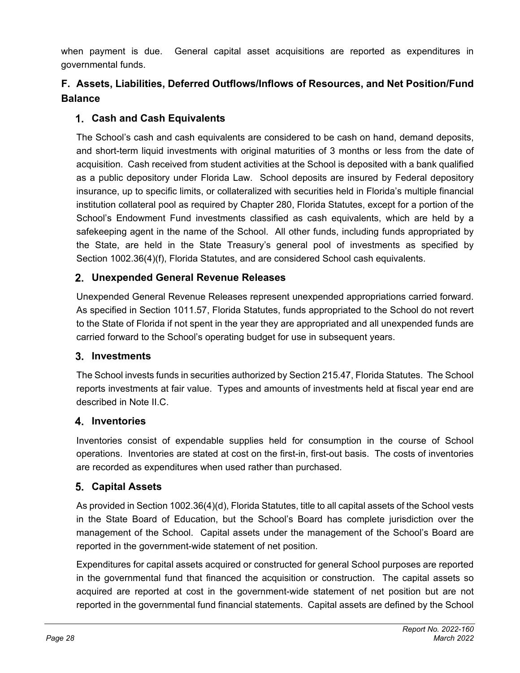when payment is due. General capital asset acquisitions are reported as expenditures in governmental funds.

### **F. Assets, Liabilities, Deferred Outflows/Inflows of Resources, and Net Position/Fund Balance**

### **Cash and Cash Equivalents**

The School's cash and cash equivalents are considered to be cash on hand, demand deposits, and short-term liquid investments with original maturities of 3 months or less from the date of acquisition. Cash received from student activities at the School is deposited with a bank qualified as a public depository under Florida Law. School deposits are insured by Federal depository insurance, up to specific limits, or collateralized with securities held in Florida's multiple financial institution collateral pool as required by Chapter 280, Florida Statutes, except for a portion of the School's Endowment Fund investments classified as cash equivalents, which are held by a safekeeping agent in the name of the School. All other funds, including funds appropriated by the State, are held in the State Treasury's general pool of investments as specified by Section 1002.36(4)(f), Florida Statutes, and are considered School cash equivalents.

### **Unexpended General Revenue Releases**

Unexpended General Revenue Releases represent unexpended appropriations carried forward. As specified in Section 1011.57, Florida Statutes, funds appropriated to the School do not revert to the State of Florida if not spent in the year they are appropriated and all unexpended funds are carried forward to the School's operating budget for use in subsequent years.

### **Investments**

The School invests funds in securities authorized by Section 215.47, Florida Statutes. The School reports investments at fair value. Types and amounts of investments held at fiscal year end are described in Note II.C.

### **Inventories**

Inventories consist of expendable supplies held for consumption in the course of School operations. Inventories are stated at cost on the first-in, first-out basis. The costs of inventories are recorded as expenditures when used rather than purchased.

### **Capital Assets**

As provided in Section 1002.36(4)(d), Florida Statutes, title to all capital assets of the School vests in the State Board of Education, but the School's Board has complete jurisdiction over the management of the School. Capital assets under the management of the School's Board are reported in the government-wide statement of net position.

Expenditures for capital assets acquired or constructed for general School purposes are reported in the governmental fund that financed the acquisition or construction. The capital assets so acquired are reported at cost in the government-wide statement of net position but are not reported in the governmental fund financial statements. Capital assets are defined by the School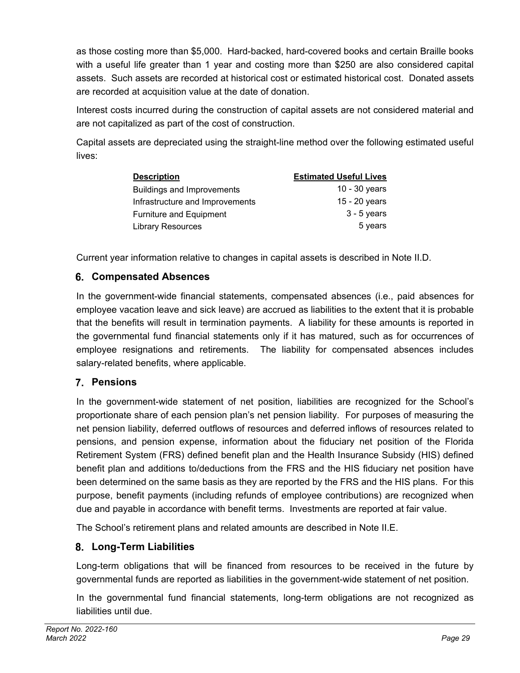as those costing more than \$5,000. Hard-backed, hard-covered books and certain Braille books with a useful life greater than 1 year and costing more than \$250 are also considered capital assets. Such assets are recorded at historical cost or estimated historical cost. Donated assets are recorded at acquisition value at the date of donation.

Interest costs incurred during the construction of capital assets are not considered material and are not capitalized as part of the cost of construction.

Capital assets are depreciated using the straight-line method over the following estimated useful lives:

| <b>Description</b>                | <b>Estimated Useful Lives</b> |
|-----------------------------------|-------------------------------|
| <b>Buildings and Improvements</b> | 10 - 30 years                 |
| Infrastructure and Improvements   | 15 - 20 years                 |
| <b>Furniture and Equipment</b>    | $3 - 5$ years                 |
| <b>Library Resources</b>          | 5 years                       |

Current year information relative to changes in capital assets is described in Note II.D.

### **Compensated Absences**

In the government-wide financial statements, compensated absences (i.e., paid absences for employee vacation leave and sick leave) are accrued as liabilities to the extent that it is probable that the benefits will result in termination payments. A liability for these amounts is reported in the governmental fund financial statements only if it has matured, such as for occurrences of employee resignations and retirements. The liability for compensated absences includes salary-related benefits, where applicable.

### **Pensions**

In the government-wide statement of net position, liabilities are recognized for the School's proportionate share of each pension plan's net pension liability. For purposes of measuring the net pension liability, deferred outflows of resources and deferred inflows of resources related to pensions, and pension expense, information about the fiduciary net position of the Florida Retirement System (FRS) defined benefit plan and the Health Insurance Subsidy (HIS) defined benefit plan and additions to/deductions from the FRS and the HIS fiduciary net position have been determined on the same basis as they are reported by the FRS and the HIS plans. For this purpose, benefit payments (including refunds of employee contributions) are recognized when due and payable in accordance with benefit terms. Investments are reported at fair value.

The School's retirement plans and related amounts are described in Note II.E.

### **Long-Term Liabilities**

Long-term obligations that will be financed from resources to be received in the future by governmental funds are reported as liabilities in the government-wide statement of net position.

In the governmental fund financial statements, long-term obligations are not recognized as liabilities until due.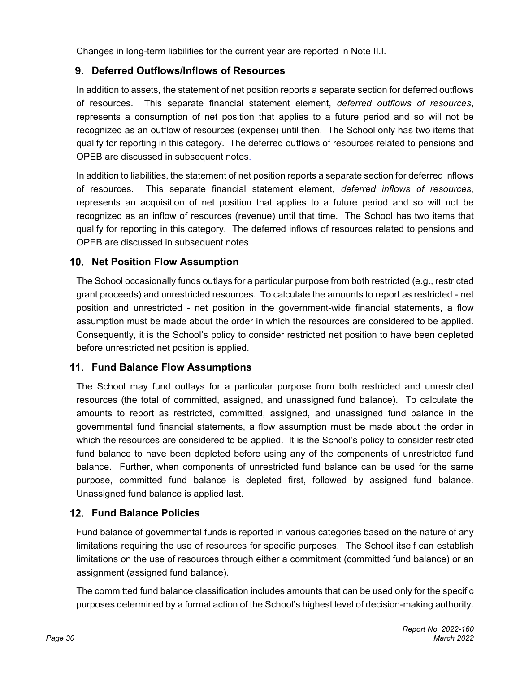Changes in long-term liabilities for the current year are reported in Note II.I.

### **Deferred Outflows/Inflows of Resources**

In addition to assets, the statement of net position reports a separate section for deferred outflows of resources. This separate financial statement element, *deferred outflows of resources*, represents a consumption of net position that applies to a future period and so will not be recognized as an outflow of resources (expense) until then. The School only has two items that qualify for reporting in this category. The deferred outflows of resources related to pensions and OPEB are discussed in subsequent notes.

In addition to liabilities, the statement of net position reports a separate section for deferred inflows of resources. This separate financial statement element, *deferred inflows of resources*, represents an acquisition of net position that applies to a future period and so will not be recognized as an inflow of resources (revenue) until that time. The School has two items that qualify for reporting in this category. The deferred inflows of resources related to pensions and OPEB are discussed in subsequent notes.

### **10. Net Position Flow Assumption**

The School occasionally funds outlays for a particular purpose from both restricted (e.g., restricted grant proceeds) and unrestricted resources. To calculate the amounts to report as restricted - net position and unrestricted - net position in the government-wide financial statements, a flow assumption must be made about the order in which the resources are considered to be applied. Consequently, it is the School's policy to consider restricted net position to have been depleted before unrestricted net position is applied.

### **Fund Balance Flow Assumptions**

The School may fund outlays for a particular purpose from both restricted and unrestricted resources (the total of committed, assigned, and unassigned fund balance). To calculate the amounts to report as restricted, committed, assigned, and unassigned fund balance in the governmental fund financial statements, a flow assumption must be made about the order in which the resources are considered to be applied. It is the School's policy to consider restricted fund balance to have been depleted before using any of the components of unrestricted fund balance. Further, when components of unrestricted fund balance can be used for the same purpose, committed fund balance is depleted first, followed by assigned fund balance. Unassigned fund balance is applied last.

### **Fund Balance Policies**

Fund balance of governmental funds is reported in various categories based on the nature of any limitations requiring the use of resources for specific purposes. The School itself can establish limitations on the use of resources through either a commitment (committed fund balance) or an assignment (assigned fund balance).

The committed fund balance classification includes amounts that can be used only for the specific purposes determined by a formal action of the School's highest level of decision-making authority.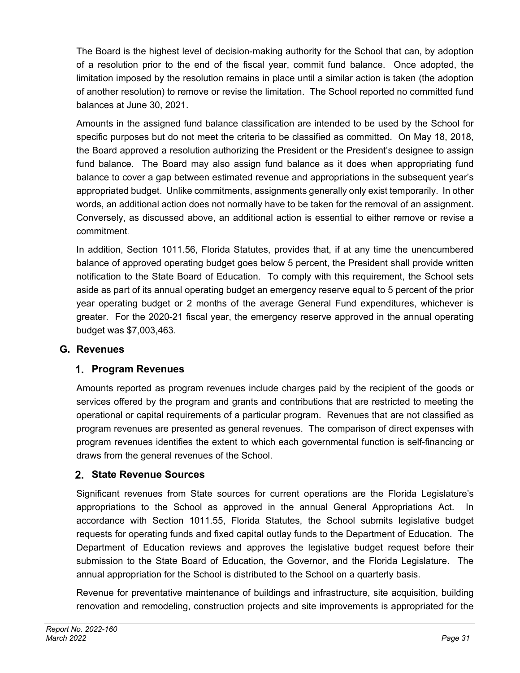The Board is the highest level of decision-making authority for the School that can, by adoption of a resolution prior to the end of the fiscal year, commit fund balance. Once adopted, the limitation imposed by the resolution remains in place until a similar action is taken (the adoption of another resolution) to remove or revise the limitation. The School reported no committed fund balances at June 30, 2021.

Amounts in the assigned fund balance classification are intended to be used by the School for specific purposes but do not meet the criteria to be classified as committed. On May 18, 2018, the Board approved a resolution authorizing the President or the President's designee to assign fund balance. The Board may also assign fund balance as it does when appropriating fund balance to cover a gap between estimated revenue and appropriations in the subsequent year's appropriated budget. Unlike commitments, assignments generally only exist temporarily. In other words, an additional action does not normally have to be taken for the removal of an assignment. Conversely, as discussed above, an additional action is essential to either remove or revise a commitment.

In addition, Section 1011.56, Florida Statutes, provides that, if at any time the unencumbered balance of approved operating budget goes below 5 percent, the President shall provide written notification to the State Board of Education. To comply with this requirement, the School sets aside as part of its annual operating budget an emergency reserve equal to 5 percent of the prior year operating budget or 2 months of the average General Fund expenditures, whichever is greater. For the 2020-21 fiscal year, the emergency reserve approved in the annual operating budget was \$7,003,463.

### **G. Revenues**

### **Program Revenues**

Amounts reported as program revenues include charges paid by the recipient of the goods or services offered by the program and grants and contributions that are restricted to meeting the operational or capital requirements of a particular program. Revenues that are not classified as program revenues are presented as general revenues. The comparison of direct expenses with program revenues identifies the extent to which each governmental function is self-financing or draws from the general revenues of the School.

### **State Revenue Sources**

Significant revenues from State sources for current operations are the Florida Legislature's appropriations to the School as approved in the annual General Appropriations Act. In accordance with Section 1011.55, Florida Statutes, the School submits legislative budget requests for operating funds and fixed capital outlay funds to the Department of Education. The Department of Education reviews and approves the legislative budget request before their submission to the State Board of Education, the Governor, and the Florida Legislature. The annual appropriation for the School is distributed to the School on a quarterly basis.

Revenue for preventative maintenance of buildings and infrastructure, site acquisition, building renovation and remodeling, construction projects and site improvements is appropriated for the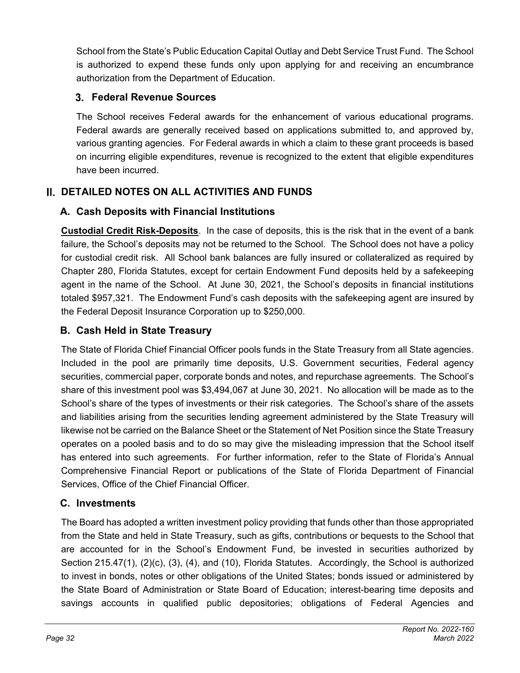School from the State's Public Education Capital Outlay and Debt Service Trust Fund. The School is authorized to expend these funds only upon applying for and receiving an encumbrance authorization from the Department of Education.

### **Federal Revenue Sources**

The School receives Federal awards for the enhancement of various educational programs. Federal awards are generally received based on applications submitted to, and approved by, various granting agencies. For Federal awards in which a claim to these grant proceeds is based on incurring eligible expenditures, revenue is recognized to the extent that eligible expenditures have been incurred.

### **DETAILED NOTES ON ALL ACTIVITIES AND FUNDS**

### **A. Cash Deposits with Financial Institutions**

**Custodial Credit Risk-Deposits**. In the case of deposits, this is the risk that in the event of a bank failure, the School's deposits may not be returned to the School. The School does not have a policy for custodial credit risk. All School bank balances are fully insured or collateralized as required by Chapter 280, Florida Statutes, except for certain Endowment Fund deposits held by a safekeeping agent in the name of the School. At June 30, 2021, the School's deposits in financial institutions totaled \$957,321. The Endowment Fund's cash deposits with the safekeeping agent are insured by the Federal Deposit Insurance Corporation up to \$250,000.

### **B. Cash Held in State Treasury**

The State of Florida Chief Financial Officer pools funds in the State Treasury from all State agencies. Included in the pool are primarily time deposits, U.S. Government securities, Federal agency securities, commercial paper, corporate bonds and notes, and repurchase agreements. The School's share of this investment pool was \$3,494,067 at June 30, 2021. No allocation will be made as to the School's share of the types of investments or their risk categories. The School's share of the assets and liabilities arising from the securities lending agreement administered by the State Treasury will likewise not be carried on the Balance Sheet or the Statement of Net Position since the State Treasury operates on a pooled basis and to do so may give the misleading impression that the School itself has entered into such agreements. For further information, refer to the State of Florida's Annual Comprehensive Financial Report or publications of the State of Florida Department of Financial Services, Office of the Chief Financial Officer.

### **C. Investments**

The Board has adopted a written investment policy providing that funds other than those appropriated from the State and held in State Treasury, such as gifts, contributions or bequests to the School that are accounted for in the School's Endowment Fund, be invested in securities authorized by Section 215.47(1), (2)(c), (3), (4), and (10), Florida Statutes. Accordingly, the School is authorized to invest in bonds, notes or other obligations of the United States; bonds issued or administered by the State Board of Administration or State Board of Education; interest-bearing time deposits and savings accounts in qualified public depositories; obligations of Federal Agencies and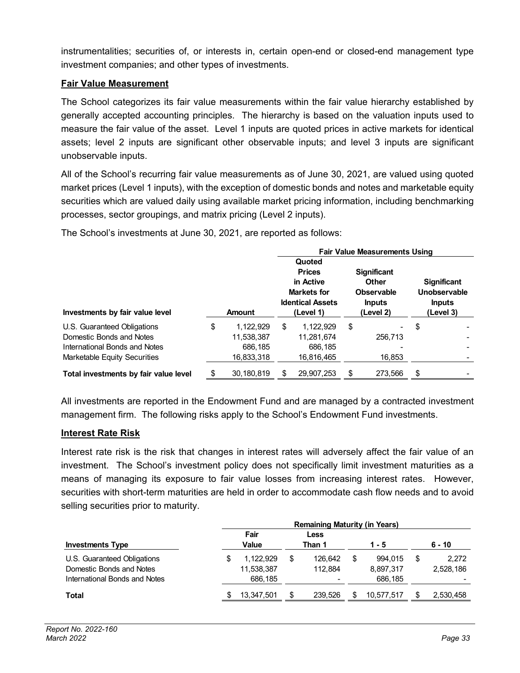instrumentalities; securities of, or interests in, certain open-end or closed-end management type investment companies; and other types of investments.

#### **Fair Value Measurement**

The School categorizes its fair value measurements within the fair value hierarchy established by generally accepted accounting principles. The hierarchy is based on the valuation inputs used to measure the fair value of the asset. Level 1 inputs are quoted prices in active markets for identical assets; level 2 inputs are significant other observable inputs; and level 3 inputs are significant unobservable inputs.

All of the School's recurring fair value measurements as of June 30, 2021, are valued using quoted market prices (Level 1 inputs), with the exception of domestic bonds and notes and marketable equity securities which are valued daily using available market pricing information, including benchmarking processes, sector groupings, and matrix pricing (Level 2 inputs).

|                                                               |    |                         | <b>Fair Value Measurements Using</b> |                                                                                                    |    |                                                                                       |    |                                                                  |  |
|---------------------------------------------------------------|----|-------------------------|--------------------------------------|----------------------------------------------------------------------------------------------------|----|---------------------------------------------------------------------------------------|----|------------------------------------------------------------------|--|
| Investments by fair value level                               |    | <b>Amount</b>           |                                      | Quoted<br><b>Prices</b><br>in Active<br><b>Markets for</b><br><b>Identical Assets</b><br>(Level 1) |    | <b>Significant</b><br><b>Other</b><br><b>Observable</b><br><b>Inputs</b><br>(Level 2) |    | <b>Significant</b><br>Unobservable<br><b>Inputs</b><br>(Level 3) |  |
| U.S. Guaranteed Obligations<br>Domestic Bonds and Notes       | \$ | 1.122.929<br>11,538,387 | \$                                   | 1.122.929<br>11.281.674                                                                            | \$ | 256.713                                                                               | S  |                                                                  |  |
| International Bonds and Notes<br>Marketable Equity Securities |    | 686.185<br>16.833.318   |                                      | 686.185<br>16.816.465                                                                              |    | 16,853                                                                                |    |                                                                  |  |
| Total investments by fair value level                         |    | 30,180,819              | \$                                   | 29,907,253                                                                                         | \$ | 273.566                                                                               | \$ |                                                                  |  |

The School's investments at June 30, 2021, are reported as follows:

All investments are reported in the Endowment Fund and are managed by a contracted investment management firm. The following risks apply to the School's Endowment Fund investments.

#### **Interest Rate Risk**

Interest rate risk is the risk that changes in interest rates will adversely affect the fair value of an investment. The School's investment policy does not specifically limit investment maturities as a means of managing its exposure to fair value losses from increasing interest rates. However, securities with short-term maturities are held in order to accommodate cash flow needs and to avoid selling securities prior to maturity.

|                               | <b>Remaining Maturity (in Years)</b> |            |     |         |  |            |  |           |
|-------------------------------|--------------------------------------|------------|-----|---------|--|------------|--|-----------|
|                               |                                      | Fair       |     | Less    |  |            |  |           |
| <b>Investments Type</b>       |                                      | Value      |     | Than 1  |  | 1 - 5      |  | $6 - 10$  |
| U.S. Guaranteed Obligations   | \$                                   | 1,122,929  | \$  | 126.642 |  | 994.015    |  | 2.272     |
| Domestic Bonds and Notes      |                                      | 11,538,387 |     | 112.884 |  | 8,897,317  |  | 2.528.186 |
| International Bonds and Notes |                                      | 686,185    |     |         |  | 686,185    |  |           |
| <b>Total</b>                  |                                      | 13,347,501 | \$. | 239.526 |  | 10,577,517 |  | 2,530,458 |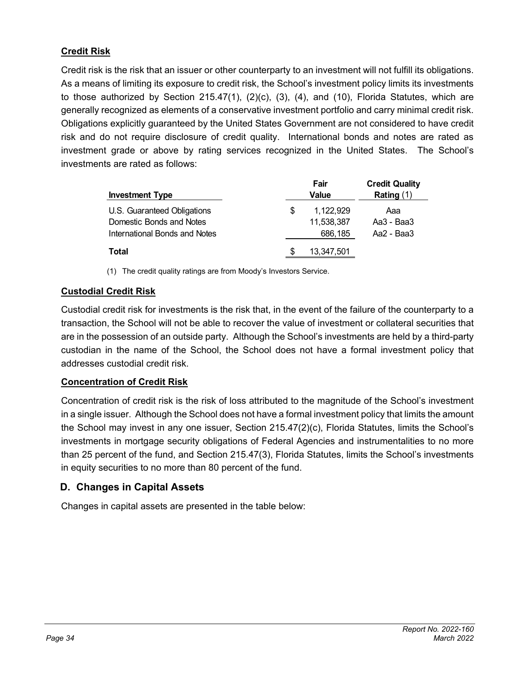### **Credit Risk**

Credit risk is the risk that an issuer or other counterparty to an investment will not fulfill its obligations. As a means of limiting its exposure to credit risk, the School's investment policy limits its investments to those authorized by Section 215.47(1), (2)(c), (3), (4), and (10), Florida Statutes, which are generally recognized as elements of a conservative investment portfolio and carry minimal credit risk. Obligations explicitly guaranteed by the United States Government are not considered to have credit risk and do not require disclosure of credit quality. International bonds and notes are rated as investment grade or above by rating services recognized in the United States. The School's investments are rated as follows:

| <b>Investment Type</b>        |   | Fair<br>Value | <b>Credit Quality</b><br>Rating $(1)$ |
|-------------------------------|---|---------------|---------------------------------------|
| U.S. Guaranteed Obligations   | S | 1,122,929     | Ааа                                   |
| Domestic Bonds and Notes      |   | 11,538,387    | Aa3 - Baa3                            |
| International Bonds and Notes |   | 686,185       | Aa2 - Baa3                            |
| Total                         |   | 13,347,501    |                                       |

(1) The credit quality ratings are from Moody's Investors Service.

#### **Custodial Credit Risk**

Custodial credit risk for investments is the risk that, in the event of the failure of the counterparty to a transaction, the School will not be able to recover the value of investment or collateral securities that are in the possession of an outside party. Although the School's investments are held by a third-party custodian in the name of the School, the School does not have a formal investment policy that addresses custodial credit risk.

#### **Concentration of Credit Risk**

Concentration of credit risk is the risk of loss attributed to the magnitude of the School's investment in a single issuer. Although the School does not have a formal investment policy that limits the amount the School may invest in any one issuer, Section 215.47(2)(c), Florida Statutes, limits the School's investments in mortgage security obligations of Federal Agencies and instrumentalities to no more than 25 percent of the fund, and Section 215.47(3), Florida Statutes, limits the School's investments in equity securities to no more than 80 percent of the fund.

### **D. Changes in Capital Assets**

Changes in capital assets are presented in the table below: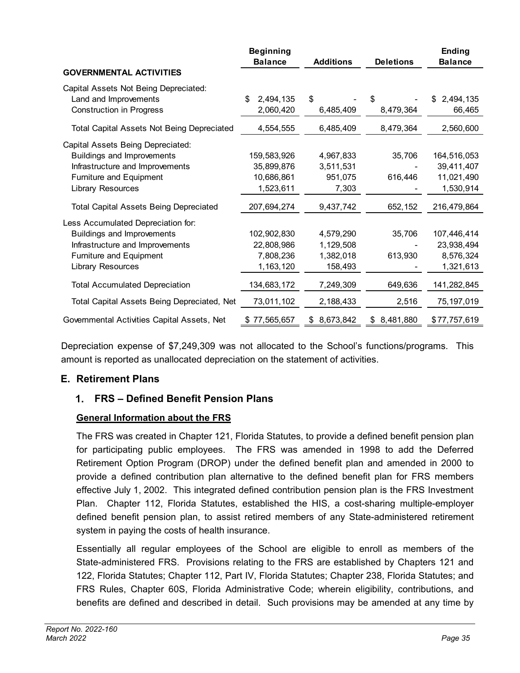|                                                   | <b>Beginning</b><br><b>Balance</b> | <b>Additions</b> | <b>Deletions</b> | <b>Ending</b><br><b>Balance</b> |
|---------------------------------------------------|------------------------------------|------------------|------------------|---------------------------------|
| <b>GOVERNMENTAL ACTIVITIES</b>                    |                                    |                  |                  |                                 |
| Capital Assets Not Being Depreciated:             |                                    |                  |                  |                                 |
| Land and Improvements                             | 2,494,135<br>\$                    | \$               | \$               | 2,494,135                       |
| <b>Construction in Progress</b>                   | 2,060,420                          | 6,485,409        | 8,479,364        | 66,465                          |
| <b>Total Capital Assets Not Being Depreciated</b> | 4,554,555                          | 6,485,409        | 8,479,364        | 2,560,600                       |
| Capital Assets Being Depreciated:                 |                                    |                  |                  |                                 |
| Buildings and Improvements                        | 159,583,926                        | 4,967,833        | 35,706           | 164,516,053                     |
| Infrastructure and Improvements                   | 35,899,876                         | 3,511,531        |                  | 39,411,407                      |
| Furniture and Equipment                           | 10,686,861                         | 951,075          | 616,446          | 11,021,490                      |
| <b>Library Resources</b>                          | 1,523,611                          | 7,303            |                  | 1,530,914                       |
| <b>Total Capital Assets Being Depreciated</b>     | 207,694,274                        | 9,437,742        | 652,152          | 216,479,864                     |
| Less Accumulated Depreciation for:                |                                    |                  |                  |                                 |
| Buildings and Improvements                        | 102,902,830                        | 4,579,290        | 35,706           | 107,446,414                     |
| Infrastructure and Improvements                   | 22,808,986                         | 1,129,508        |                  | 23,938,494                      |
| <b>Furniture and Equipment</b>                    | 7,808,236                          | 1,382,018        | 613,930          | 8,576,324                       |
| Library Resources                                 | 1,163,120                          | 158,493          |                  | 1,321,613                       |
| <b>Total Accumulated Depreciation</b>             | 134,683,172                        | 7,249,309        | 649,636          | 141,282,845                     |
| Total Capital Assets Being Depreciated, Net       | 73,011,102                         | 2,188,433        | 2,516            | 75,197,019                      |
| Governmental Activities Capital Assets, Net       | 77,565,657                         | \$ 8,673,842     | 8,481,880<br>\$  | \$77,757,619                    |

Depreciation expense of \$7,249,309 was not allocated to the School's functions/programs. This amount is reported as unallocated depreciation on the statement of activities.

### **E. Retirement Plans**

### **FRS – Defined Benefit Pension Plans**

### **General Information about the FRS**

The FRS was created in Chapter 121, Florida Statutes, to provide a defined benefit pension plan for participating public employees. The FRS was amended in 1998 to add the Deferred Retirement Option Program (DROP) under the defined benefit plan and amended in 2000 to provide a defined contribution plan alternative to the defined benefit plan for FRS members effective July 1, 2002. This integrated defined contribution pension plan is the FRS Investment Plan. Chapter 112, Florida Statutes, established the HIS, a cost-sharing multiple-employer defined benefit pension plan, to assist retired members of any State-administered retirement system in paying the costs of health insurance.

Essentially all regular employees of the School are eligible to enroll as members of the State-administered FRS. Provisions relating to the FRS are established by Chapters 121 and 122, Florida Statutes; Chapter 112, Part IV, Florida Statutes; Chapter 238, Florida Statutes; and FRS Rules, Chapter 60S, Florida Administrative Code; wherein eligibility, contributions, and benefits are defined and described in detail. Such provisions may be amended at any time by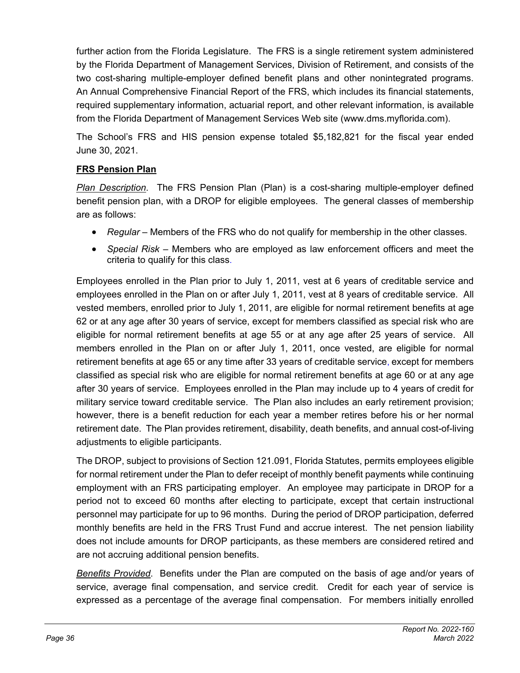further action from the Florida Legislature. The FRS is a single retirement system administered by the Florida Department of Management Services, Division of Retirement, and consists of the two cost-sharing multiple-employer defined benefit plans and other nonintegrated programs. An Annual Comprehensive Financial Report of the FRS, which includes its financial statements, required supplementary information, actuarial report, and other relevant information, is available from the Florida Department of Management Services Web site (www.dms.myflorida.com).

The School's FRS and HIS pension expense totaled \$5,182,821 for the fiscal year ended June 30, 2021.

#### **FRS Pension Plan**

*Plan Description*. The FRS Pension Plan (Plan) is a cost-sharing multiple-employer defined benefit pension plan, with a DROP for eligible employees. The general classes of membership are as follows:

- *Regular* Members of the FRS who do not qualify for membership in the other classes.
- *Special Risk* Members who are employed as law enforcement officers and meet the criteria to qualify for this class.

Employees enrolled in the Plan prior to July 1, 2011, vest at 6 years of creditable service and employees enrolled in the Plan on or after July 1, 2011, vest at 8 years of creditable service. All vested members, enrolled prior to July 1, 2011, are eligible for normal retirement benefits at age 62 or at any age after 30 years of service, except for members classified as special risk who are eligible for normal retirement benefits at age 55 or at any age after 25 years of service. All members enrolled in the Plan on or after July 1, 2011, once vested, are eligible for normal retirement benefits at age 65 or any time after 33 years of creditable service, except for members classified as special risk who are eligible for normal retirement benefits at age 60 or at any age after 30 years of service. Employees enrolled in the Plan may include up to 4 years of credit for military service toward creditable service. The Plan also includes an early retirement provision; however, there is a benefit reduction for each year a member retires before his or her normal retirement date. The Plan provides retirement, disability, death benefits, and annual cost-of-living adjustments to eligible participants.

The DROP, subject to provisions of Section 121.091, Florida Statutes, permits employees eligible for normal retirement under the Plan to defer receipt of monthly benefit payments while continuing employment with an FRS participating employer. An employee may participate in DROP for a period not to exceed 60 months after electing to participate, except that certain instructional personnel may participate for up to 96 months. During the period of DROP participation, deferred monthly benefits are held in the FRS Trust Fund and accrue interest. The net pension liability does not include amounts for DROP participants, as these members are considered retired and are not accruing additional pension benefits.

*Benefits Provided*. Benefits under the Plan are computed on the basis of age and/or years of service, average final compensation, and service credit. Credit for each year of service is expressed as a percentage of the average final compensation. For members initially enrolled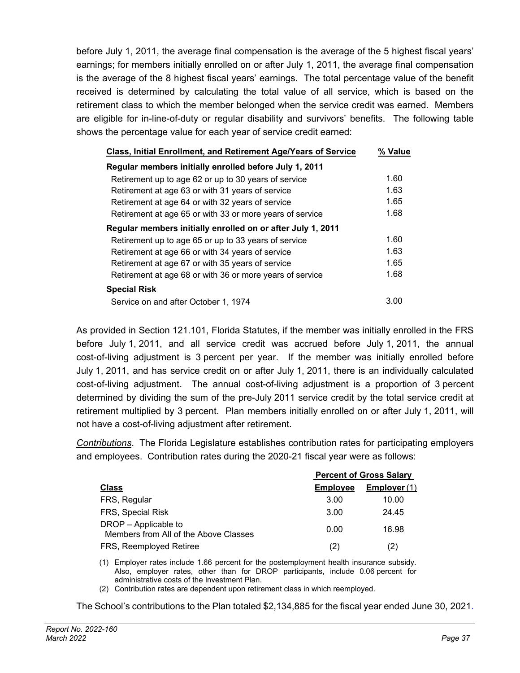before July 1, 2011, the average final compensation is the average of the 5 highest fiscal years' earnings; for members initially enrolled on or after July 1, 2011, the average final compensation is the average of the 8 highest fiscal years' earnings. The total percentage value of the benefit received is determined by calculating the total value of all service, which is based on the retirement class to which the member belonged when the service credit was earned. Members are eligible for in-line-of-duty or regular disability and survivors' benefits. The following table shows the percentage value for each year of service credit earned:

| <b>Class, Initial Enrollment, and Retirement Age/Years of Service</b> | % Value |
|-----------------------------------------------------------------------|---------|
| Regular members initially enrolled before July 1, 2011                |         |
| Retirement up to age 62 or up to 30 years of service                  | 1.60    |
| Retirement at age 63 or with 31 years of service                      | 1.63    |
| Retirement at age 64 or with 32 years of service                      | 1.65    |
| Retirement at age 65 or with 33 or more years of service              | 1.68    |
| Regular members initially enrolled on or after July 1, 2011           |         |
| Retirement up to age 65 or up to 33 years of service                  | 1.60    |
| Retirement at age 66 or with 34 years of service                      | 1.63    |
| Retirement at age 67 or with 35 years of service                      | 1.65    |
| Retirement at age 68 or with 36 or more years of service              | 1.68    |
| <b>Special Risk</b>                                                   |         |
| Service on and after October 1, 1974                                  | 3.0C    |

As provided in Section 121.101, Florida Statutes, if the member was initially enrolled in the FRS before July 1, 2011, and all service credit was accrued before July 1, 2011, the annual cost-of-living adjustment is 3 percent per year. If the member was initially enrolled before July 1, 2011, and has service credit on or after July 1, 2011, there is an individually calculated cost-of-living adjustment. The annual cost-of-living adjustment is a proportion of 3 percent determined by dividing the sum of the pre-July 2011 service credit by the total service credit at retirement multiplied by 3 percent. Plan members initially enrolled on or after July 1, 2011, will not have a cost-of-living adjustment after retirement.

*Contributions*. The Florida Legislature establishes contribution rates for participating employers and employees. Contribution rates during the 2020-21 fiscal year were as follows:

|                                                               | <b>Percent of Gross Salary</b> |                |  |  |  |
|---------------------------------------------------------------|--------------------------------|----------------|--|--|--|
| <b>Class</b>                                                  | <b>Employee</b>                | Employer $(1)$ |  |  |  |
| FRS, Regular                                                  | 3.00                           | 10.00          |  |  |  |
| FRS, Special Risk                                             | 3.00                           | 24.45          |  |  |  |
| DROP - Applicable to<br>Members from All of the Above Classes | 0.00                           | 16.98          |  |  |  |
| FRS, Reemployed Retiree                                       | (2)                            | (2)            |  |  |  |

(1) Employer rates include 1.66 percent for the postemployment health insurance subsidy. Also, employer rates, other than for DROP participants, include 0.06 percent for administrative costs of the Investment Plan.

(2) Contribution rates are dependent upon retirement class in which reemployed.

The School's contributions to the Plan totaled \$2,134,885 for the fiscal year ended June 30, 2021.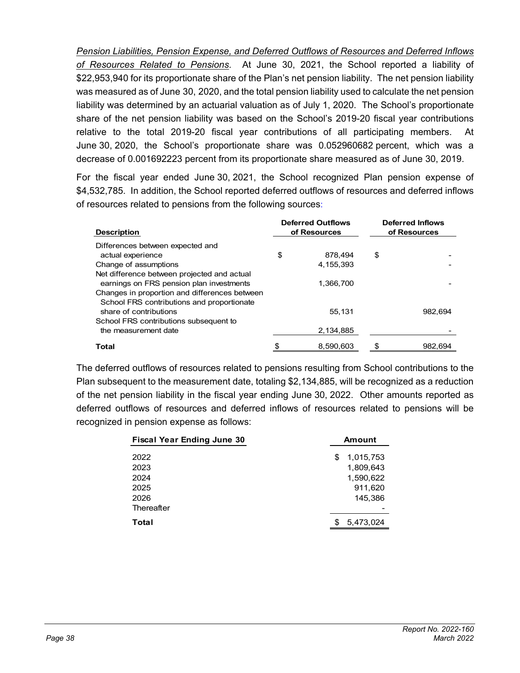*Pension Liabilities, Pension Expense, and Deferred Outflows of Resources and Deferred Inflows of Resources Related to Pensions*. At June 30, 2021, the School reported a liability of \$22,953,940 for its proportionate share of the Plan's net pension liability. The net pension liability was measured as of June 30, 2020, and the total pension liability used to calculate the net pension liability was determined by an actuarial valuation as of July 1, 2020. The School's proportionate share of the net pension liability was based on the School's 2019-20 fiscal year contributions relative to the total 2019-20 fiscal year contributions of all participating members. At June 30, 2020, the School's proportionate share was 0.052960682 percent, which was a decrease of 0.001692223 percent from its proportionate share measured as of June 30, 2019.

For the fiscal year ended June 30, 2021, the School recognized Plan pension expense of \$4,532,785. In addition, the School reported deferred outflows of resources and deferred inflows of resources related to pensions from the following sources:

| <b>Description</b>                            | <b>Deferred Outflows</b><br>of Resources |           | <b>Deferred Inflows</b><br>of Resources |         |  |
|-----------------------------------------------|------------------------------------------|-----------|-----------------------------------------|---------|--|
| Differences between expected and              |                                          |           |                                         |         |  |
| actual experience                             | \$                                       | 878.494   | \$                                      |         |  |
| Change of assumptions                         |                                          | 4.155.393 |                                         |         |  |
| Net difference between projected and actual   |                                          |           |                                         |         |  |
| earnings on FRS pension plan investments      |                                          | 1.366.700 |                                         |         |  |
| Changes in proportion and differences between |                                          |           |                                         |         |  |
| School FRS contributions and proportionate    |                                          |           |                                         |         |  |
| share of contributions                        |                                          | 55.131    |                                         | 982.694 |  |
| School FRS contributions subsequent to        |                                          |           |                                         |         |  |
| the measurement date                          |                                          | 2,134,885 |                                         |         |  |
| <b>Total</b>                                  |                                          | 8,590,603 |                                         | 982.694 |  |

The deferred outflows of resources related to pensions resulting from School contributions to the Plan subsequent to the measurement date, totaling \$2,134,885, will be recognized as a reduction of the net pension liability in the fiscal year ending June 30, 2022. Other amounts reported as deferred outflows of resources and deferred inflows of resources related to pensions will be recognized in pension expense as follows:

| <b>Fiscal Year Ending June 30</b> | Amount         |  |
|-----------------------------------|----------------|--|
| 2022                              | 1,015,753<br>S |  |
| 2023                              | 1,809,643      |  |
| 2024                              | 1,590,622      |  |
| 2025                              | 911,620        |  |
| 2026                              | 145,386        |  |
| Thereafter                        |                |  |
| Total                             | 5,473,024      |  |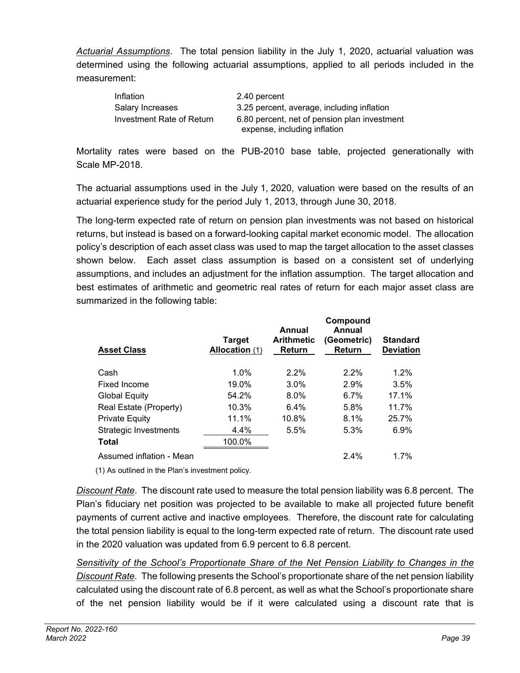*Actuarial Assumptions*. The total pension liability in the July 1, 2020, actuarial valuation was determined using the following actuarial assumptions, applied to all periods included in the measurement:

| Inflation                 | 2.40 percent                                                                 |
|---------------------------|------------------------------------------------------------------------------|
| Salary Increases          | 3.25 percent, average, including inflation                                   |
| Investment Rate of Return | 6.80 percent, net of pension plan investment<br>expense, including inflation |

Mortality rates were based on the PUB-2010 base table, projected generationally with Scale MP-2018.

The actuarial assumptions used in the July 1, 2020, valuation were based on the results of an actuarial experience study for the period July 1, 2013, through June 30, 2018.

The long-term expected rate of return on pension plan investments was not based on historical returns, but instead is based on a forward-looking capital market economic model. The allocation policy's description of each asset class was used to map the target allocation to the asset classes shown below. Each asset class assumption is based on a consistent set of underlying assumptions, and includes an adjustment for the inflation assumption. The target allocation and best estimates of arithmetic and geometric real rates of return for each major asset class are summarized in the following table:

| <b>Asset Class</b>       | <b>Target</b><br>Allocation (1) | Annual<br><b>Arithmetic</b><br>Return | Compound<br>Annual<br>(Geometric)<br>Return | <b>Standard</b><br><b>Deviation</b> |
|--------------------------|---------------------------------|---------------------------------------|---------------------------------------------|-------------------------------------|
| Cash                     | 1.0%                            | $2.2\%$                               | $2.2\%$                                     | 1.2%                                |
| Fixed Income             | 19.0%                           | 3.0%                                  | 2.9%                                        | 3.5%                                |
| <b>Global Equity</b>     | 54.2%                           | $8.0\%$                               | 6.7%                                        | 17.1%                               |
| Real Estate (Property)   | 10.3%                           | 6.4%                                  | 5.8%                                        | 11.7%                               |
| <b>Private Equity</b>    | 11.1%                           | 10.8%                                 | 8.1%                                        | 25.7%                               |
| Strategic Investments    | 4.4%                            | 5.5%                                  | 5.3%                                        | 6.9%                                |
| <b>Total</b>             | 100.0%                          |                                       |                                             |                                     |
| Assumed inflation - Mean |                                 |                                       | 2.4%                                        | 1.7%                                |
|                          |                                 |                                       |                                             |                                     |

(1) As outlined in the Plan's investment policy.

*Discount Rate*. The discount rate used to measure the total pension liability was 6.8 percent. The Plan's fiduciary net position was projected to be available to make all projected future benefit payments of current active and inactive employees. Therefore, the discount rate for calculating the total pension liability is equal to the long-term expected rate of return. The discount rate used in the 2020 valuation was updated from 6.9 percent to 6.8 percent.

*Sensitivity of the School's Proportionate Share of the Net Pension Liability to Changes in the Discount Rate*. The following presents the School's proportionate share of the net pension liability calculated using the discount rate of 6.8 percent, as well as what the School's proportionate share of the net pension liability would be if it were calculated using a discount rate that is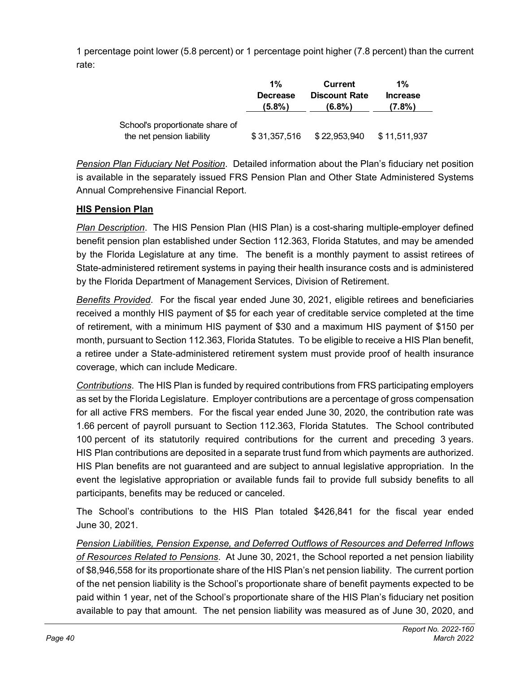1 percentage point lower (5.8 percent) or 1 percentage point higher (7.8 percent) than the current rate:

|                                 | 1%                        | <b>Current</b>                 | $1\%$                        |
|---------------------------------|---------------------------|--------------------------------|------------------------------|
|                                 | <b>Decrease</b><br>(5.8%) | <b>Discount Rate</b><br>(6.8%) | <b>Increase</b><br>$(7.8\%)$ |
| School's proportionate share of |                           |                                |                              |
| the net pension liability       | \$31,357,516              | \$22,953,940                   | \$11,511,937                 |

*Pension Plan Fiduciary Net Position*. Detailed information about the Plan's fiduciary net position is available in the separately issued FRS Pension Plan and Other State Administered Systems Annual Comprehensive Financial Report.

### **HIS Pension Plan**

*Plan Description*. The HIS Pension Plan (HIS Plan) is a cost-sharing multiple-employer defined benefit pension plan established under Section 112.363, Florida Statutes, and may be amended by the Florida Legislature at any time. The benefit is a monthly payment to assist retirees of State-administered retirement systems in paying their health insurance costs and is administered by the Florida Department of Management Services, Division of Retirement.

*Benefits Provided*. For the fiscal year ended June 30, 2021, eligible retirees and beneficiaries received a monthly HIS payment of \$5 for each year of creditable service completed at the time of retirement, with a minimum HIS payment of \$30 and a maximum HIS payment of \$150 per month, pursuant to Section 112.363, Florida Statutes. To be eligible to receive a HIS Plan benefit, a retiree under a State-administered retirement system must provide proof of health insurance coverage, which can include Medicare.

*Contributions*. The HIS Plan is funded by required contributions from FRS participating employers as set by the Florida Legislature. Employer contributions are a percentage of gross compensation for all active FRS members. For the fiscal year ended June 30, 2020, the contribution rate was 1.66 percent of payroll pursuant to Section 112.363, Florida Statutes. The School contributed 100 percent of its statutorily required contributions for the current and preceding 3 years. HIS Plan contributions are deposited in a separate trust fund from which payments are authorized. HIS Plan benefits are not guaranteed and are subject to annual legislative appropriation. In the event the legislative appropriation or available funds fail to provide full subsidy benefits to all participants, benefits may be reduced or canceled.

The School's contributions to the HIS Plan totaled \$426,841 for the fiscal year ended June 30, 2021.

*Pension Liabilities, Pension Expense, and Deferred Outflows of Resources and Deferred Inflows of Resources Related to Pensions*. At June 30, 2021, the School reported a net pension liability of \$8,946,558 for its proportionate share of the HIS Plan's net pension liability. The current portion of the net pension liability is the School's proportionate share of benefit payments expected to be paid within 1 year, net of the School's proportionate share of the HIS Plan's fiduciary net position available to pay that amount. The net pension liability was measured as of June 30, 2020, and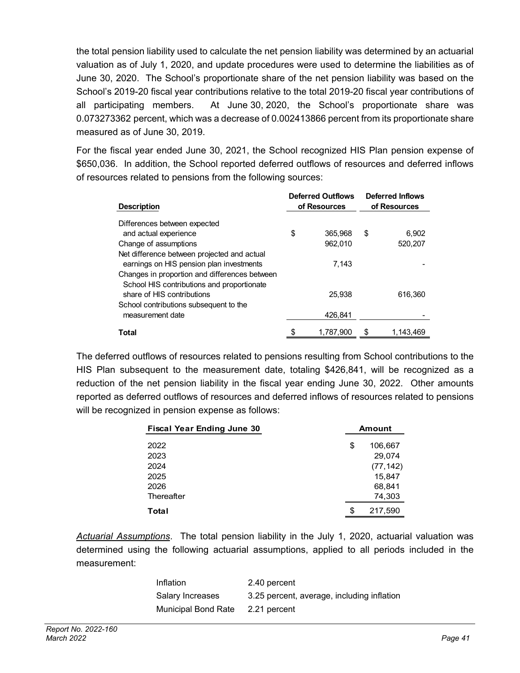the total pension liability used to calculate the net pension liability was determined by an actuarial valuation as of July 1, 2020, and update procedures were used to determine the liabilities as of June 30, 2020. The School's proportionate share of the net pension liability was based on the School's 2019-20 fiscal year contributions relative to the total 2019-20 fiscal year contributions of all participating members. At June 30, 2020, the School's proportionate share was 0.073273362 percent, which was a decrease of 0.002413866 percent from its proportionate share measured as of June 30, 2019.

For the fiscal year ended June 30, 2021, the School recognized HIS Plan pension expense of \$650,036. In addition, the School reported deferred outflows of resources and deferred inflows of resources related to pensions from the following sources:

| <b>Description</b>                            | <b>Deferred Outflows</b><br>of Resources |           | <b>Deferred Inflows</b><br>of Resources |           |
|-----------------------------------------------|------------------------------------------|-----------|-----------------------------------------|-----------|
| Differences between expected                  |                                          |           |                                         |           |
| and actual experience                         | \$                                       | 365.968   | \$                                      | 6.902     |
| Change of assumptions                         |                                          | 962,010   |                                         | 520,207   |
| Net difference between projected and actual   |                                          |           |                                         |           |
| earnings on HIS pension plan investments      |                                          | 7.143     |                                         |           |
| Changes in proportion and differences between |                                          |           |                                         |           |
| School HIS contributions and proportionate    |                                          |           |                                         |           |
| share of HIS contributions                    |                                          | 25.938    |                                         | 616,360   |
| School contributions subsequent to the        |                                          |           |                                         |           |
| measurement date                              |                                          | 426.841   |                                         |           |
| Total                                         |                                          | 1,787,900 |                                         | 1,143,469 |

The deferred outflows of resources related to pensions resulting from School contributions to the HIS Plan subsequent to the measurement date, totaling \$426,841, will be recognized as a reduction of the net pension liability in the fiscal year ending June 30, 2022. Other amounts reported as deferred outflows of resources and deferred inflows of resources related to pensions will be recognized in pension expense as follows:

| <b>Fiscal Year Ending June 30</b> | <b>Amount</b>       |
|-----------------------------------|---------------------|
| 2022                              | \$<br>106,667       |
| 2023<br>2024                      | 29,074<br>(77, 142) |
| 2025                              | 15,847              |
| 2026                              | 68,841              |
| Thereafter                        | 74,303              |
| Total                             | \$<br>217,590       |

*Actuarial Assumptions*. The total pension liability in the July 1, 2020, actuarial valuation was determined using the following actuarial assumptions, applied to all periods included in the measurement:

| Inflation                        | 2.40 percent                               |
|----------------------------------|--------------------------------------------|
| Salary Increases                 | 3.25 percent, average, including inflation |
| Municipal Bond Rate 2.21 percent |                                            |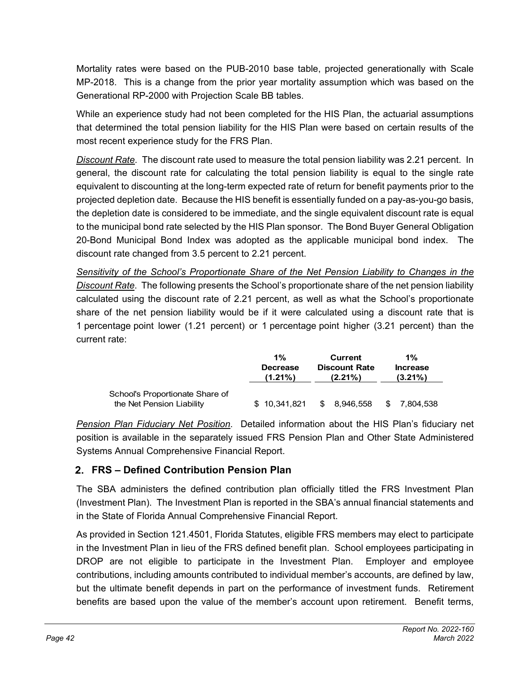Mortality rates were based on the PUB-2010 base table, projected generationally with Scale MP-2018. This is a change from the prior year mortality assumption which was based on the Generational RP-2000 with Projection Scale BB tables.

While an experience study had not been completed for the HIS Plan, the actuarial assumptions that determined the total pension liability for the HIS Plan were based on certain results of the most recent experience study for the FRS Plan.

*Discount Rate*. The discount rate used to measure the total pension liability was 2.21 percent. In general, the discount rate for calculating the total pension liability is equal to the single rate equivalent to discounting at the long-term expected rate of return for benefit payments prior to the projected depletion date. Because the HIS benefit is essentially funded on a pay-as-you-go basis, the depletion date is considered to be immediate, and the single equivalent discount rate is equal to the municipal bond rate selected by the HIS Plan sponsor. The Bond Buyer General Obligation 20-Bond Municipal Bond Index was adopted as the applicable municipal bond index. The discount rate changed from 3.5 percent to 2.21 percent.

*Sensitivity of the School's Proportionate Share of the Net Pension Liability to Changes in the Discount Rate*. The following presents the School's proportionate share of the net pension liability calculated using the discount rate of 2.21 percent, as well as what the School's proportionate share of the net pension liability would be if it were calculated using a discount rate that is 1 percentage point lower (1.21 percent) or 1 percentage point higher (3.21 percent) than the current rate:

|                                                              | $1\%$                         | Current                            | $1\%$                         |
|--------------------------------------------------------------|-------------------------------|------------------------------------|-------------------------------|
|                                                              | <b>Decrease</b><br>$(1.21\%)$ | <b>Discount Rate</b><br>$(2.21\%)$ | <b>Increase</b><br>$(3.21\%)$ |
| School's Proportionate Share of<br>the Net Pension Liability | \$10.341.821                  | 8,946,558<br>SS.                   | 7,804,538                     |

*Pension Plan Fiduciary Net Position*. Detailed information about the HIS Plan's fiduciary net position is available in the separately issued FRS Pension Plan and Other State Administered Systems Annual Comprehensive Financial Report.

### **FRS – Defined Contribution Pension Plan**

The SBA administers the defined contribution plan officially titled the FRS Investment Plan (Investment Plan). The Investment Plan is reported in the SBA's annual financial statements and in the State of Florida Annual Comprehensive Financial Report.

As provided in Section 121.4501, Florida Statutes, eligible FRS members may elect to participate in the Investment Plan in lieu of the FRS defined benefit plan. School employees participating in DROP are not eligible to participate in the Investment Plan. Employer and employee contributions, including amounts contributed to individual member's accounts, are defined by law, but the ultimate benefit depends in part on the performance of investment funds. Retirement benefits are based upon the value of the member's account upon retirement. Benefit terms,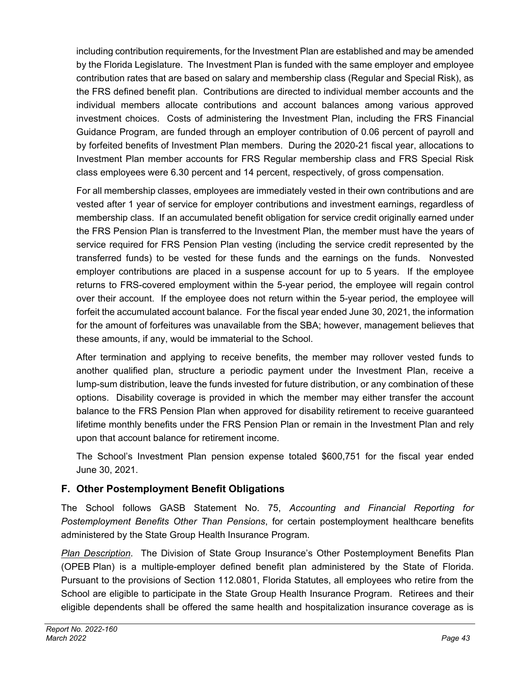including contribution requirements, for the Investment Plan are established and may be amended by the Florida Legislature. The Investment Plan is funded with the same employer and employee contribution rates that are based on salary and membership class (Regular and Special Risk), as the FRS defined benefit plan. Contributions are directed to individual member accounts and the individual members allocate contributions and account balances among various approved investment choices. Costs of administering the Investment Plan, including the FRS Financial Guidance Program, are funded through an employer contribution of 0.06 percent of payroll and by forfeited benefits of Investment Plan members. During the 2020-21 fiscal year, allocations to Investment Plan member accounts for FRS Regular membership class and FRS Special Risk class employees were 6.30 percent and 14 percent, respectively, of gross compensation.

For all membership classes, employees are immediately vested in their own contributions and are vested after 1 year of service for employer contributions and investment earnings, regardless of membership class. If an accumulated benefit obligation for service credit originally earned under the FRS Pension Plan is transferred to the Investment Plan, the member must have the years of service required for FRS Pension Plan vesting (including the service credit represented by the transferred funds) to be vested for these funds and the earnings on the funds. Nonvested employer contributions are placed in a suspense account for up to 5 years. If the employee returns to FRS-covered employment within the 5-year period, the employee will regain control over their account. If the employee does not return within the 5-year period, the employee will forfeit the accumulated account balance. For the fiscal year ended June 30, 2021, the information for the amount of forfeitures was unavailable from the SBA; however, management believes that these amounts, if any, would be immaterial to the School.

After termination and applying to receive benefits, the member may rollover vested funds to another qualified plan, structure a periodic payment under the Investment Plan, receive a lump-sum distribution, leave the funds invested for future distribution, or any combination of these options. Disability coverage is provided in which the member may either transfer the account balance to the FRS Pension Plan when approved for disability retirement to receive guaranteed lifetime monthly benefits under the FRS Pension Plan or remain in the Investment Plan and rely upon that account balance for retirement income.

The School's Investment Plan pension expense totaled \$600,751 for the fiscal year ended June 30, 2021.

### **F. Other Postemployment Benefit Obligations**

The School follows GASB Statement No. 75, *Accounting and Financial Reporting for Postemployment Benefits Other Than Pensions*, for certain postemployment healthcare benefits administered by the State Group Health Insurance Program.

*Plan Description*. The Division of State Group Insurance's Other Postemployment Benefits Plan (OPEB Plan) is a multiple-employer defined benefit plan administered by the State of Florida. Pursuant to the provisions of Section 112.0801, Florida Statutes, all employees who retire from the School are eligible to participate in the State Group Health Insurance Program. Retirees and their eligible dependents shall be offered the same health and hospitalization insurance coverage as is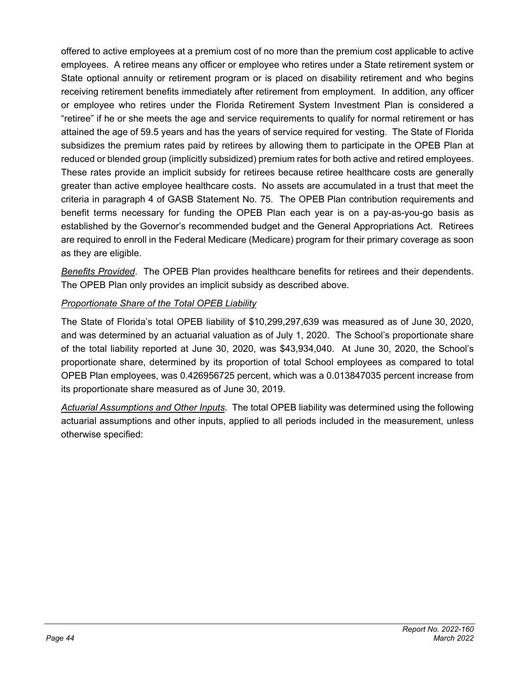offered to active employees at a premium cost of no more than the premium cost applicable to active employees. A retiree means any officer or employee who retires under a State retirement system or State optional annuity or retirement program or is placed on disability retirement and who begins receiving retirement benefits immediately after retirement from employment. In addition, any officer or employee who retires under the Florida Retirement System Investment Plan is considered a "retiree" if he or she meets the age and service requirements to qualify for normal retirement or has attained the age of 59.5 years and has the years of service required for vesting. The State of Florida subsidizes the premium rates paid by retirees by allowing them to participate in the OPEB Plan at reduced or blended group (implicitly subsidized) premium rates for both active and retired employees. These rates provide an implicit subsidy for retirees because retiree healthcare costs are generally greater than active employee healthcare costs. No assets are accumulated in a trust that meet the criteria in paragraph 4 of GASB Statement No. 75. The OPEB Plan contribution requirements and benefit terms necessary for funding the OPEB Plan each year is on a pay-as-you-go basis as established by the Governor's recommended budget and the General Appropriations Act. Retirees are required to enroll in the Federal Medicare (Medicare) program for their primary coverage as soon as they are eligible.

*Benefits Provided*. The OPEB Plan provides healthcare benefits for retirees and their dependents. The OPEB Plan only provides an implicit subsidy as described above.

#### *Proportionate Share of the Total OPEB Liability*

The State of Florida's total OPEB liability of \$10,299,297,639 was measured as of June 30, 2020, and was determined by an actuarial valuation as of July 1, 2020. The School's proportionate share of the total liability reported at June 30, 2020, was \$43,934,040. At June 30, 2020, the School's proportionate share, determined by its proportion of total School employees as compared to total OPEB Plan employees, was 0.426956725 percent, which was a 0.013847035 percent increase from its proportionate share measured as of June 30, 2019.

*Actuarial Assumptions and Other Inputs*. The total OPEB liability was determined using the following actuarial assumptions and other inputs, applied to all periods included in the measurement, unless otherwise specified: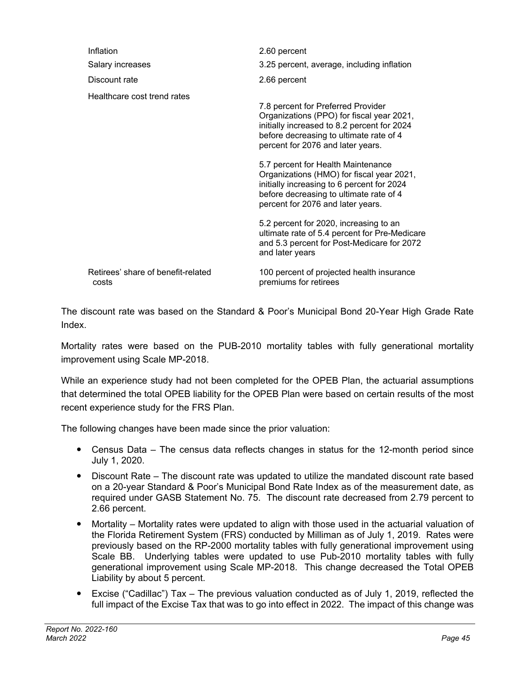| Inflation                                   | 2.60 percent                                                                                                                                                                                                                                                                                      |
|---------------------------------------------|---------------------------------------------------------------------------------------------------------------------------------------------------------------------------------------------------------------------------------------------------------------------------------------------------|
| Salary increases                            | 3.25 percent, average, including inflation                                                                                                                                                                                                                                                        |
| Discount rate                               | 2.66 percent                                                                                                                                                                                                                                                                                      |
| Healthcare cost trend rates                 | 7.8 percent for Preferred Provider<br>Organizations (PPO) for fiscal year 2021,<br>initially increased to 8.2 percent for 2024<br>before decreasing to ultimate rate of 4<br>percent for 2076 and later years.<br>5.7 percent for Health Maintenance<br>Organizations (HMO) for fiscal year 2021, |
|                                             | initially increasing to 6 percent for 2024<br>before decreasing to ultimate rate of 4<br>percent for 2076 and later years.                                                                                                                                                                        |
|                                             | 5.2 percent for 2020, increasing to an<br>ultimate rate of 5.4 percent for Pre-Medicare<br>and 5.3 percent for Post-Medicare for 2072<br>and later years                                                                                                                                          |
| Retirees' share of benefit-related<br>costs | 100 percent of projected health insurance<br>premiums for retirees                                                                                                                                                                                                                                |

The discount rate was based on the Standard & Poor's Municipal Bond 20-Year High Grade Rate Index.

Mortality rates were based on the PUB-2010 mortality tables with fully generational mortality improvement using Scale MP-2018.

While an experience study had not been completed for the OPEB Plan, the actuarial assumptions that determined the total OPEB liability for the OPEB Plan were based on certain results of the most recent experience study for the FRS Plan.

The following changes have been made since the prior valuation:

- Census Data The census data reflects changes in status for the 12-month period since July 1, 2020.
- Discount Rate The discount rate was updated to utilize the mandated discount rate based on a 20-year Standard & Poor's Municipal Bond Rate Index as of the measurement date, as required under GASB Statement No. 75. The discount rate decreased from 2.79 percent to 2.66 percent.
- Mortality Mortality rates were updated to align with those used in the actuarial valuation of the Florida Retirement System (FRS) conducted by Milliman as of July 1, 2019. Rates were previously based on the RP-2000 mortality tables with fully generational improvement using Scale BB. Underlying tables were updated to use Pub-2010 mortality tables with fully generational improvement using Scale MP-2018. This change decreased the Total OPEB Liability by about 5 percent.
- Excise ("Cadillac") Tax The previous valuation conducted as of July 1, 2019, reflected the full impact of the Excise Tax that was to go into effect in 2022. The impact of this change was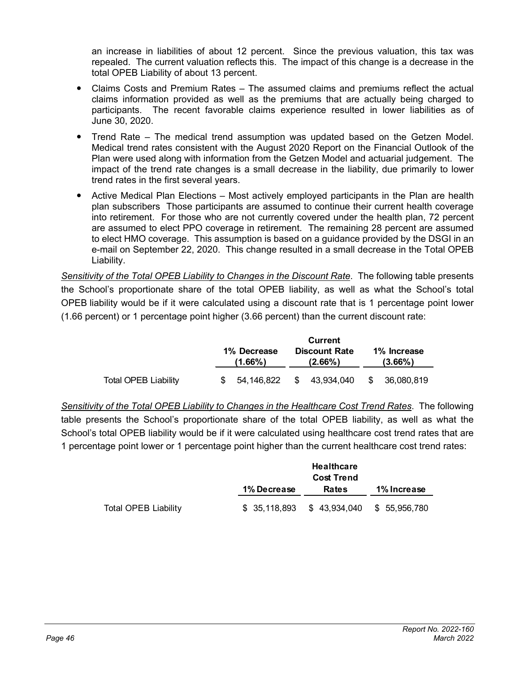an increase in liabilities of about 12 percent. Since the previous valuation, this tax was repealed. The current valuation reflects this. The impact of this change is a decrease in the total OPEB Liability of about 13 percent.

- Claims Costs and Premium Rates The assumed claims and premiums reflect the actual claims information provided as well as the premiums that are actually being charged to participants. The recent favorable claims experience resulted in lower liabilities as of June 30, 2020.
- Trend Rate The medical trend assumption was updated based on the Getzen Model. Medical trend rates consistent with the August 2020 Report on the Financial Outlook of the Plan were used along with information from the Getzen Model and actuarial judgement. The impact of the trend rate changes is a small decrease in the liability, due primarily to lower trend rates in the first several years.
- Active Medical Plan Elections Most actively employed participants in the Plan are health plan subscribers Those participants are assumed to continue their current health coverage into retirement. For those who are not currently covered under the health plan, 72 percent are assumed to elect PPO coverage in retirement. The remaining 28 percent are assumed to elect HMO coverage. This assumption is based on a guidance provided by the DSGI in an e-mail on September 22, 2020. This change resulted in a small decrease in the Total OPEB Liability.

*Sensitivity of the Total OPEB Liability to Changes in the Discount Rate*. The following table presents the School's proportionate share of the total OPEB liability, as well as what the School's total OPEB liability would be if it were calculated using a discount rate that is 1 percentage point lower (1.66 percent) or 1 percentage point higher (3.66 percent) than the current discount rate:

|                             | <b>Current</b> |                           |                                    |            |                           |            |
|-----------------------------|----------------|---------------------------|------------------------------------|------------|---------------------------|------------|
|                             |                | 1% Decrease<br>$(1.66\%)$ | <b>Discount Rate</b><br>$(2.66\%)$ |            | 1% Increase<br>$(3.66\%)$ |            |
| <b>Total OPEB Liability</b> |                | 54.146.822                | - SS                               | 43.934.040 | - \$                      | 36.080.819 |

*Sensitivity of the Total OPEB Liability to Changes in the Healthcare Cost Trend Rates*. The following table presents the School's proportionate share of the total OPEB liability, as well as what the School's total OPEB liability would be if it were calculated using healthcare cost trend rates that are 1 percentage point lower or 1 percentage point higher than the current healthcare cost trend rates:

|                      | <b>Healthcare</b><br><b>Cost Trend</b> |                           |             |
|----------------------|----------------------------------------|---------------------------|-------------|
|                      | 1% Decrease                            | <b>Rates</b>              | 1% Increase |
| Total OPEB Liability | \$35,118,893                           | \$43,934,040 \$55,956,780 |             |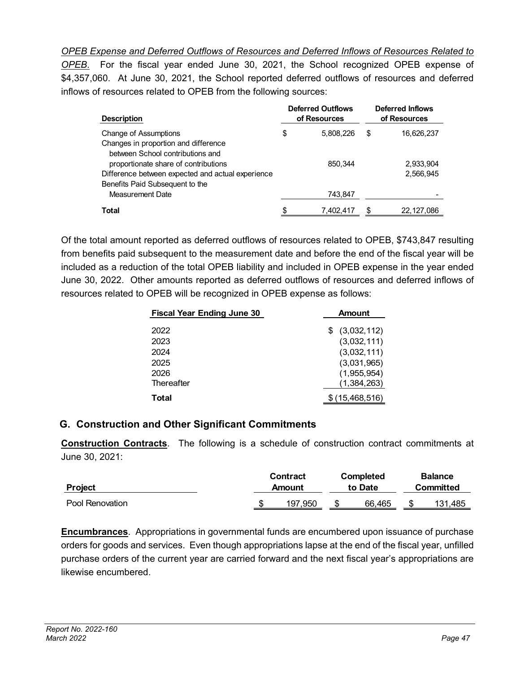*OPEB Expense and Deferred Outflows of Resources and Deferred Inflows of Resources Related to* 

*OPEB*. For the fiscal year ended June 30, 2021, the School recognized OPEB expense of \$4,357,060. At June 30, 2021, the School reported deferred outflows of resources and deferred inflows of resources related to OPEB from the following sources:

| <b>Description</b>                                                                                                           | <b>Deferred Outflows</b><br>of Resources |           | <b>Deferred Inflows</b><br>of Resources |                        |  |
|------------------------------------------------------------------------------------------------------------------------------|------------------------------------------|-----------|-----------------------------------------|------------------------|--|
| Change of Assumptions<br>Changes in proportion and difference<br>between School contributions and                            | \$                                       | 5,808,226 | \$                                      | 16,626,237             |  |
| proportionate share of contributions<br>Difference between expected and actual experience<br>Benefits Paid Subsequent to the |                                          | 850,344   |                                         | 2,933,904<br>2,566,945 |  |
| Measurement Date                                                                                                             |                                          | 743,847   |                                         |                        |  |
| <b>Total</b>                                                                                                                 | S                                        | 7,402,417 | S                                       | 22,127,086             |  |

Of the total amount reported as deferred outflows of resources related to OPEB, \$743,847 resulting from benefits paid subsequent to the measurement date and before the end of the fiscal year will be included as a reduction of the total OPEB liability and included in OPEB expense in the year ended June 30, 2022. Other amounts reported as deferred outflows of resources and deferred inflows of resources related to OPEB will be recognized in OPEB expense as follows:

| <b>Fiscal Year Ending June 30</b> | <b>Amount</b>  |  |  |  |
|-----------------------------------|----------------|--|--|--|
| 2022                              | (3,032,112)    |  |  |  |
| 2023                              | (3,032,111)    |  |  |  |
| 2024                              | (3,032,111)    |  |  |  |
| 2025                              | (3,031,965)    |  |  |  |
| 2026                              | (1,955,954)    |  |  |  |
| Thereafter                        | (1, 384, 263)  |  |  |  |
| Total                             | \$(15,468,516) |  |  |  |

### **G. Construction and Other Significant Commitments**

**Construction Contracts**. The following is a schedule of construction contract commitments at June 30, 2021:

| <b>Project</b>  | <b>Contract</b><br>Amount |   | <b>Completed</b><br>to Date | <b>Balance</b><br>Committed |         |  |
|-----------------|---------------------------|---|-----------------------------|-----------------------------|---------|--|
| Pool Renovation | 197.950                   | S | 66.465                      |                             | 131,485 |  |

**Encumbrances**. Appropriations in governmental funds are encumbered upon issuance of purchase orders for goods and services. Even though appropriations lapse at the end of the fiscal year, unfilled purchase orders of the current year are carried forward and the next fiscal year's appropriations are likewise encumbered.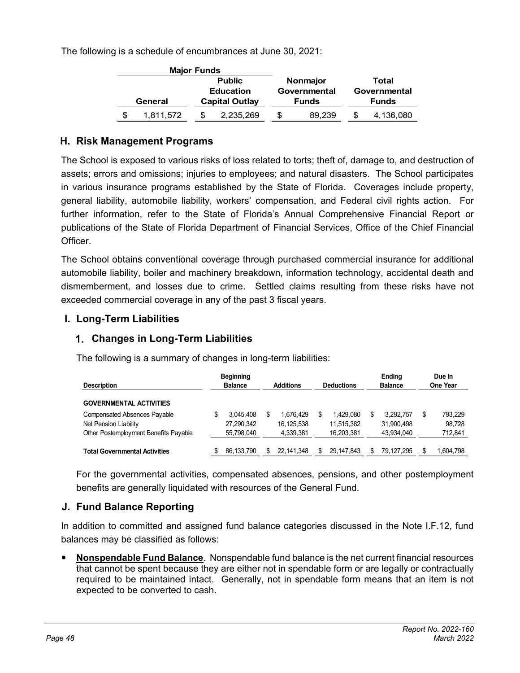The following is a schedule of encumbrances at June 30, 2021:

|                  | <b>Major Funds</b> |   |                       |  |              |              |           |  |  |
|------------------|--------------------|---|-----------------------|--|--------------|--------------|-----------|--|--|
| <b>Public</b>    |                    |   |                       |  | Nonmajor     | Total        |           |  |  |
| <b>Education</b> |                    |   |                       |  | Governmental | Governmental |           |  |  |
| General          |                    |   | <b>Capital Outlay</b> |  | <b>Funds</b> | <b>Funds</b> |           |  |  |
| \$               | 1,811,572          | S | 2,235,269             |  | 89.239       | Ъ            | 4,136,080 |  |  |

#### **H. Risk Management Programs**

The School is exposed to various risks of loss related to torts; theft of, damage to, and destruction of assets; errors and omissions; injuries to employees; and natural disasters. The School participates in various insurance programs established by the State of Florida. Coverages include property, general liability, automobile liability, workers' compensation, and Federal civil rights action. For further information, refer to the State of Florida's Annual Comprehensive Financial Report or publications of the State of Florida Department of Financial Services, Office of the Chief Financial **Officer** 

The School obtains conventional coverage through purchased commercial insurance for additional automobile liability, boiler and machinery breakdown, information technology, accidental death and dismemberment, and losses due to crime. Settled claims resulting from these risks have not exceeded commercial coverage in any of the past 3 fiscal years.

#### **I. Long-Term Liabilities**

#### **Changes in Long-Term Liabilities**

The following is a summary of changes in long-term liabilities:

| <b>Description</b>                    |  | <b>Beginning</b><br><b>Balance</b> |     | <b>Additions</b> |    | <b>Deductions</b> |   | Ending<br><b>Balance</b> |    | Due In<br>One Year |  |
|---------------------------------------|--|------------------------------------|-----|------------------|----|-------------------|---|--------------------------|----|--------------------|--|
| <b>GOVERNMENTAL ACTIVITIES</b>        |  |                                    |     |                  |    |                   |   |                          |    |                    |  |
| <b>Compensated Absences Payable</b>   |  | 3.045.408                          | \$. | 1.676.429        | S. | 1.429.080         | S | 3.292.757                | \$ | 793.229            |  |
| Net Pension Liability                 |  | 27,290,342                         |     | 16.125.538       |    | 11.515.382        |   | 31.900.498               |    | 98,728             |  |
| Other Postemployment Benefits Payable |  | 55,798,040                         |     | 4,339,381        |    | 16,203,381        |   | 43,934,040               |    | 712,841            |  |
| <b>Total Governmental Activities</b>  |  | 86, 133, 790                       |     | 22, 141, 348     |    | 29,147,843        |   | 79.127.295               |    | 1,604,798          |  |

For the governmental activities, compensated absences, pensions, and other postemployment benefits are generally liquidated with resources of the General Fund.

#### **J. Fund Balance Reporting**

In addition to committed and assigned fund balance categories discussed in the Note I.F.12, fund balances may be classified as follows:

 **Nonspendable Fund Balance**. Nonspendable fund balance is the net current financial resources that cannot be spent because they are either not in spendable form or are legally or contractually required to be maintained intact. Generally, not in spendable form means that an item is not expected to be converted to cash.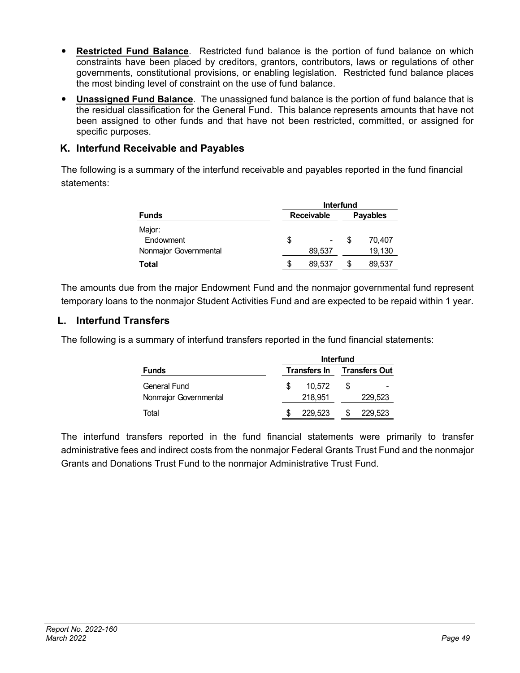- **Restricted Fund Balance**. Restricted fund balance is the portion of fund balance on which constraints have been placed by creditors, grantors, contributors, laws or regulations of other governments, constitutional provisions, or enabling legislation. Restricted fund balance places the most binding level of constraint on the use of fund balance.
- **Unassigned Fund Balance**. The unassigned fund balance is the portion of fund balance that is the residual classification for the General Fund. This balance represents amounts that have not been assigned to other funds and that have not been restricted, committed, or assigned for specific purposes.

### **K. Interfund Receivable and Payables**

The following is a summary of the interfund receivable and payables reported in the fund financial statements:

|                       | <b>Interfund</b> |                   |   |                 |  |  |  |  |
|-----------------------|------------------|-------------------|---|-----------------|--|--|--|--|
| <b>Funds</b>          |                  | <b>Receivable</b> |   | <b>Payables</b> |  |  |  |  |
| Major:<br>Endowment   | \$               |                   | S | 70,407          |  |  |  |  |
| Nonmajor Governmental |                  | 89,537            |   | 19,130          |  |  |  |  |
| Total                 | \$               | 89,537            |   | 89,537          |  |  |  |  |

The amounts due from the major Endowment Fund and the nonmajor governmental fund represent temporary loans to the nonmajor Student Activities Fund and are expected to be repaid within 1 year.

### **L. Interfund Transfers**

The following is a summary of interfund transfers reported in the fund financial statements:

|                                       | <b>Interfund</b> |                   |                                   |         |  |  |
|---------------------------------------|------------------|-------------------|-----------------------------------|---------|--|--|
| <b>Funds</b>                          |                  |                   | <b>Transfers In Transfers Out</b> |         |  |  |
| General Fund<br>Nonmajor Governmental |                  | 10.572<br>218,951 |                                   | 229.523 |  |  |
| Total                                 |                  | 229,523           |                                   | 229,523 |  |  |

The interfund transfers reported in the fund financial statements were primarily to transfer administrative fees and indirect costs from the nonmajor Federal Grants Trust Fund and the nonmajor Grants and Donations Trust Fund to the nonmajor Administrative Trust Fund.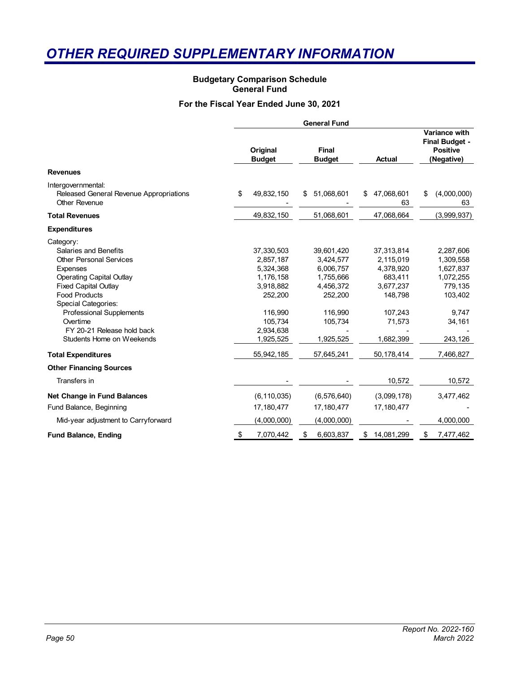## <span id="page-54-0"></span>*OTHER REQUIRED SUPPLEMENTARY INFORMATION*

#### **Budgetary Comparison Schedule General Fund**

#### **For the Fiscal Year Ended June 30, 2021**

|                                                                                                                                                                                                                                                                                                                    | <b>General Fund</b> |                                                                                                                           |    |                                                                                                              |    |                                                                                                           |    |                                                                                                      |
|--------------------------------------------------------------------------------------------------------------------------------------------------------------------------------------------------------------------------------------------------------------------------------------------------------------------|---------------------|---------------------------------------------------------------------------------------------------------------------------|----|--------------------------------------------------------------------------------------------------------------|----|-----------------------------------------------------------------------------------------------------------|----|------------------------------------------------------------------------------------------------------|
|                                                                                                                                                                                                                                                                                                                    |                     | Original<br><b>Budget</b>                                                                                                 |    | <b>Final</b><br><b>Budget</b>                                                                                |    | <b>Actual</b>                                                                                             |    | Variance with<br><b>Final Budget -</b><br><b>Positive</b><br>(Negative)                              |
| <b>Revenues</b>                                                                                                                                                                                                                                                                                                    |                     |                                                                                                                           |    |                                                                                                              |    |                                                                                                           |    |                                                                                                      |
| Intergovernmental:<br>Released General Revenue Appropriations<br>Other Revenue                                                                                                                                                                                                                                     | \$                  | 49,832,150                                                                                                                | S  | 51,068,601                                                                                                   | \$ | 47,068,601<br>63                                                                                          | \$ | (4,000,000)<br>63                                                                                    |
| <b>Total Revenues</b>                                                                                                                                                                                                                                                                                              |                     | 49,832,150                                                                                                                |    | 51,068,601                                                                                                   |    | 47,068,664                                                                                                |    | (3,999,937)                                                                                          |
| <b>Expenditures</b>                                                                                                                                                                                                                                                                                                |                     |                                                                                                                           |    |                                                                                                              |    |                                                                                                           |    |                                                                                                      |
| Category:<br>Salaries and Benefits<br><b>Other Personal Services</b><br><b>Expenses</b><br><b>Operating Capital Outlay</b><br><b>Fixed Capital Outlay</b><br><b>Food Products</b><br>Special Categories:<br><b>Professional Supplements</b><br>Overtime<br>FY 20-21 Release hold back<br>Students Home on Weekends |                     | 37,330,503<br>2,857,187<br>5,324,368<br>1,176,158<br>3,918,882<br>252.200<br>116,990<br>105.734<br>2,934,638<br>1,925,525 |    | 39,601,420<br>3,424,577<br>6,006,757<br>1,755,666<br>4,456,372<br>252,200<br>116,990<br>105,734<br>1,925,525 |    | 37,313,814<br>2,115,019<br>4,378,920<br>683,411<br>3,677,237<br>148,798<br>107,243<br>71,573<br>1,682,399 |    | 2,287,606<br>1,309,558<br>1,627,837<br>1,072,255<br>779,135<br>103,402<br>9,747<br>34,161<br>243,126 |
| <b>Total Expenditures</b>                                                                                                                                                                                                                                                                                          |                     | 55,942,185                                                                                                                |    | 57,645,241                                                                                                   |    | 50,178,414                                                                                                |    | 7,466,827                                                                                            |
| <b>Other Financing Sources</b>                                                                                                                                                                                                                                                                                     |                     |                                                                                                                           |    |                                                                                                              |    |                                                                                                           |    |                                                                                                      |
| Transfers in                                                                                                                                                                                                                                                                                                       |                     |                                                                                                                           |    |                                                                                                              |    | 10,572                                                                                                    |    | 10,572                                                                                               |
| <b>Net Change in Fund Balances</b>                                                                                                                                                                                                                                                                                 |                     | (6, 110, 035)                                                                                                             |    | (6, 576, 640)                                                                                                |    | (3,099,178)                                                                                               |    | 3,477,462                                                                                            |
| Fund Balance, Beginning                                                                                                                                                                                                                                                                                            |                     | 17,180,477                                                                                                                |    | 17, 180, 477                                                                                                 |    | 17,180,477                                                                                                |    |                                                                                                      |
| Mid-year adjustment to Carryforward                                                                                                                                                                                                                                                                                |                     | (4,000,000)                                                                                                               |    | (4,000,000)                                                                                                  |    |                                                                                                           |    | 4,000,000                                                                                            |
| <b>Fund Balance, Ending</b>                                                                                                                                                                                                                                                                                        | \$                  | 7,070,442                                                                                                                 | \$ | 6,603,837                                                                                                    | \$ | 14,081,299                                                                                                | \$ | 7,477,462                                                                                            |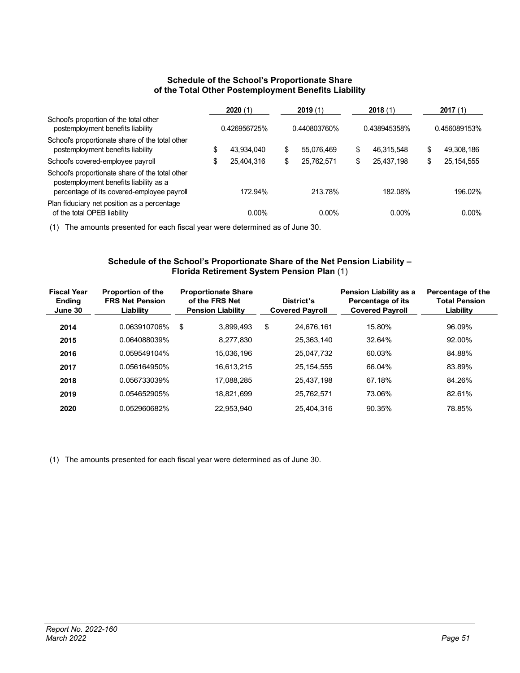#### **Schedule of the School's Proportionate Share of the Total Other Postemployment Benefits Liability**

<span id="page-55-0"></span>

|                                                                                                                                         |    | 2020(1)      | 2019(1)          |    | 2018(1)      | 2017(1)            |
|-----------------------------------------------------------------------------------------------------------------------------------------|----|--------------|------------------|----|--------------|--------------------|
| School's proportion of the total other<br>postemployment benefits liability                                                             |    | 0.426956725% | 0.440803760%     |    | 0.438945358% | 0.456089153%       |
| School's proportionate share of the total other<br>postemployment benefits liability                                                    | S  | 43,934,040   | \$<br>55.076.469 | S  | 46.315.548   | \$<br>49,308,186   |
| School's covered-employee payroll                                                                                                       | \$ | 25,404,316   | \$<br>25,762,571 | \$ | 25.437,198   | \$<br>25, 154, 555 |
| School's proportionate share of the total other<br>postemployment benefits liability as a<br>percentage of its covered-employee payroll |    | 172.94%      | 213.78%          |    | 182.08%      | 196.02%            |
| Plan fiduciary net position as a percentage<br>of the total OPEB liability                                                              |    | $0.00\%$     | $0.00\%$         |    | $0.00\%$     | 0.00%              |

(1) The amounts presented for each fiscal year were determined as of June 30.

#### **Schedule of the School's Proportionate Share of the Net Pension Liability – Florida Retirement System Pension Plan** (1)

| <b>Fiscal Year</b><br><b>Ending</b><br>June 30 | <b>Proportion of the</b><br><b>FRS Net Pension</b><br>Liability | <b>Proportionate Share</b><br>of the FRS Net<br><b>Pension Liability</b> | District's<br><b>Covered Payroll</b> | <b>Pension Liability as a</b><br>Percentage of its<br><b>Covered Payroll</b> | Percentage of the<br><b>Total Pension</b><br>Liability |
|------------------------------------------------|-----------------------------------------------------------------|--------------------------------------------------------------------------|--------------------------------------|------------------------------------------------------------------------------|--------------------------------------------------------|
| 2014                                           | 0.063910706%                                                    | \$<br>3.899.493                                                          | \$<br>24,676,161                     | 15.80%                                                                       | 96.09%                                                 |
| 2015                                           | 0.064088039%                                                    | 8.277.830                                                                | 25,363,140                           | 32.64%                                                                       | 92.00%                                                 |
| 2016                                           | 0.059549104%                                                    | 15.036.196                                                               | 25,047,732                           | 60.03%                                                                       | 84.88%                                                 |
| 2017                                           | 0.056164950%                                                    | 16.613.215                                                               | 25, 154, 555                         | 66.04%                                                                       | 83.89%                                                 |
| 2018                                           | 0.056733039%                                                    | 17.088.285                                                               | 25,437,198                           | 67.18%                                                                       | 84.26%                                                 |
| 2019                                           | 0.054652905%                                                    | 18.821.699                                                               | 25.762.571                           | 73.06%                                                                       | 82.61%                                                 |
| 2020                                           | 0.052960682%                                                    | 22.953.940                                                               | 25.404.316                           | 90.35%                                                                       | 78.85%                                                 |

(1) The amounts presented for each fiscal year were determined as of June 30.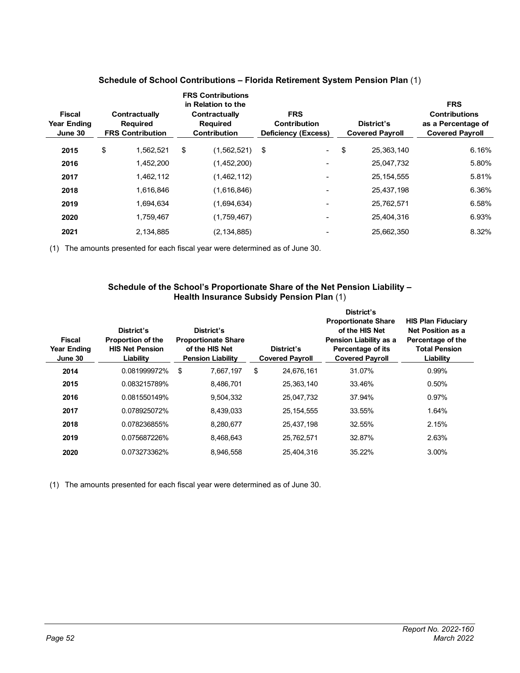<span id="page-56-0"></span>

| <b>Fiscal</b><br><b>Year Ending</b><br>June 30 | Contractually<br><b>Required</b><br><b>FRS Contribution</b> | <b>FRS Contributions</b><br>in Relation to the<br>Contractually<br><b>Required</b><br><b>Contribution</b> | <b>FRS</b><br><b>Contribution</b><br><b>Deficiency (Excess)</b> | District's<br><b>Covered Payroll</b> | <b>FRS</b><br><b>Contributions</b><br>as a Percentage of<br><b>Covered Payroll</b> |
|------------------------------------------------|-------------------------------------------------------------|-----------------------------------------------------------------------------------------------------------|-----------------------------------------------------------------|--------------------------------------|------------------------------------------------------------------------------------|
| 2015                                           | \$<br>1,562,521                                             | \$<br>(1,562,521)                                                                                         | \$<br>$\sim$                                                    | \$<br>25,363,140                     | 6.16%                                                                              |
| 2016                                           | 1,452,200                                                   | (1,452,200)                                                                                               |                                                                 | 25,047,732                           | 5.80%                                                                              |
| 2017                                           | 1,462,112                                                   | (1,462,112)                                                                                               |                                                                 | 25, 154, 555                         | 5.81%                                                                              |
| 2018                                           | 1,616,846                                                   | (1,616,846)                                                                                               |                                                                 | 25.437.198                           | 6.36%                                                                              |
| 2019                                           | 1,694,634                                                   | (1,694,634)                                                                                               |                                                                 | 25,762,571                           | 6.58%                                                                              |
| 2020                                           | 1,759,467                                                   | (1,759,467)                                                                                               |                                                                 | 25,404,316                           | 6.93%                                                                              |
| 2021                                           | 2.134.885                                                   | (2, 134, 885)                                                                                             |                                                                 | 25.662.350                           | 8.32%                                                                              |

#### **Schedule of School Contributions – Florida Retirement System Pension Plan** (1)

(1) The amounts presented for each fiscal year were determined as of June 30.

#### **Schedule of the School's Proportionate Share of the Net Pension Liability – Health Insurance Subsidy Pension Plan** (1)

| <b>Fiscal</b><br><b>Year Ending</b><br>June 30 | District's<br><b>Proportion of the</b><br><b>HIS Net Pension</b><br>Liability | District's<br><b>Proportionate Share</b><br>of the HIS Net<br><b>Pension Liability</b> | District's<br><b>Covered Payroll</b> | District's<br><b>Proportionate Share</b><br>of the HIS Net<br>Pension Liability as a<br>Percentage of its<br><b>Covered Payroll</b> | <b>HIS Plan Fiduciary</b><br>Net Position as a<br>Percentage of the<br><b>Total Pension</b><br>Liability |
|------------------------------------------------|-------------------------------------------------------------------------------|----------------------------------------------------------------------------------------|--------------------------------------|-------------------------------------------------------------------------------------------------------------------------------------|----------------------------------------------------------------------------------------------------------|
| 2014                                           | 0.081999972%                                                                  | \$<br>7.667.197                                                                        | \$<br>24,676,161                     | 31.07%                                                                                                                              | 0.99%                                                                                                    |
| 2015                                           | 0.083215789%                                                                  | 8.486.701                                                                              | 25,363,140                           | 33.46%                                                                                                                              | 0.50%                                                                                                    |
| 2016                                           | 0.081550149%                                                                  | 9.504.332                                                                              | 25,047,732                           | 37.94%                                                                                                                              | 0.97%                                                                                                    |
| 2017                                           | 0.078925072%                                                                  | 8.439.033                                                                              | 25.154.555                           | 33.55%                                                                                                                              | 1.64%                                                                                                    |
| 2018                                           | 0.078236855%                                                                  | 8,280,677                                                                              | 25,437,198                           | 32.55%                                                                                                                              | 2.15%                                                                                                    |
| 2019                                           | 0.075687226%                                                                  | 8.468.643                                                                              | 25,762,571                           | 32.87%                                                                                                                              | 2.63%                                                                                                    |
| 2020                                           | 0.073273362%                                                                  | 8,946,558                                                                              | 25.404.316                           | 35.22%                                                                                                                              | 3.00%                                                                                                    |

(1) The amounts presented for each fiscal year were determined as of June 30.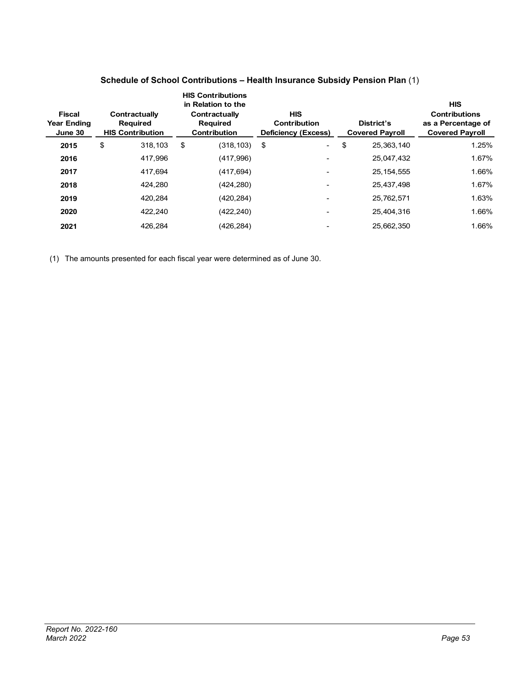<span id="page-57-0"></span>

| <b>Fiscal</b><br>Year Ending<br>June 30 | Contractually<br><b>Required</b><br><b>HIS Contribution</b> | <b>HIS Contributions</b><br>in Relation to the<br>Contractually<br><b>Required</b><br><b>Contribution</b> | <b>HIS</b><br><b>Contribution</b><br><b>Deficiency (Excess)</b> | District's<br><b>Covered Payroll</b> | <b>HIS</b><br><b>Contributions</b><br>as a Percentage of<br><b>Covered Payroll</b> |
|-----------------------------------------|-------------------------------------------------------------|-----------------------------------------------------------------------------------------------------------|-----------------------------------------------------------------|--------------------------------------|------------------------------------------------------------------------------------|
| 2015                                    | \$<br>318,103                                               | \$<br>(318, 103)                                                                                          | \$<br>$\sim$                                                    | \$<br>25,363,140                     | 1.25%                                                                              |
| 2016                                    | 417,996                                                     | (417,996)                                                                                                 | $\overline{\phantom{0}}$                                        | 25,047,432                           | 1.67%                                                                              |
| 2017                                    | 417.694                                                     | (417, 694)                                                                                                | ۰                                                               | 25, 154, 555                         | 1.66%                                                                              |
| 2018                                    | 424.280                                                     | (424, 280)                                                                                                | -                                                               | 25.437.498                           | 1.67%                                                                              |
| 2019                                    | 420,284                                                     | (420, 284)                                                                                                | ۰                                                               | 25,762,571                           | 1.63%                                                                              |
| 2020                                    | 422.240                                                     | (422, 240)                                                                                                |                                                                 | 25.404.316                           | 1.66%                                                                              |
| 2021                                    | 426.284                                                     | (426,284)                                                                                                 |                                                                 | 25,662,350                           | 1.66%                                                                              |

#### **Schedule of School Contributions – Health Insurance Subsidy Pension Plan** (1)

(1) The amounts presented for each fiscal year were determined as of June 30.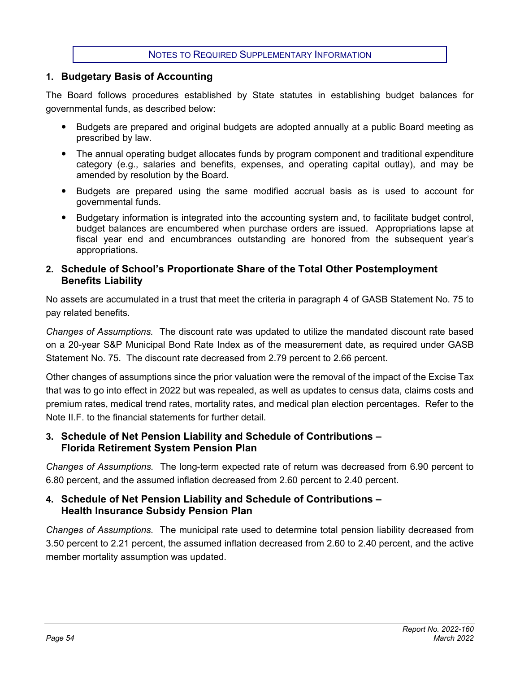#### NOTES TO REQUIRED SUPPLEMENTARY INFORMATION

#### <span id="page-58-0"></span>**1. Budgetary Basis of Accounting**

The Board follows procedures established by State statutes in establishing budget balances for governmental funds, as described below:

- Budgets are prepared and original budgets are adopted annually at a public Board meeting as prescribed by law.
- The annual operating budget allocates funds by program component and traditional expenditure category (e.g., salaries and benefits, expenses, and operating capital outlay), and may be amended by resolution by the Board.
- Budgets are prepared using the same modified accrual basis as is used to account for governmental funds.
- Budgetary information is integrated into the accounting system and, to facilitate budget control, budget balances are encumbered when purchase orders are issued. Appropriations lapse at fiscal year end and encumbrances outstanding are honored from the subsequent year's appropriations.

#### **2. Schedule of School's Proportionate Share of the Total Other Postemployment Benefits Liability**

No assets are accumulated in a trust that meet the criteria in paragraph 4 of GASB Statement No. 75 to pay related benefits.

*Changes of Assumptions.* The discount rate was updated to utilize the mandated discount rate based on a 20-year S&P Municipal Bond Rate Index as of the measurement date, as required under GASB Statement No. 75. The discount rate decreased from 2.79 percent to 2.66 percent.

Other changes of assumptions since the prior valuation were the removal of the impact of the Excise Tax that was to go into effect in 2022 but was repealed, as well as updates to census data, claims costs and premium rates, medical trend rates, mortality rates, and medical plan election percentages. Refer to the Note II.F. to the financial statements for further detail.

#### **3. Schedule of Net Pension Liability and Schedule of Contributions – Florida Retirement System Pension Plan**

*Changes of Assumptions.* The long-term expected rate of return was decreased from 6.90 percent to 6.80 percent, and the assumed inflation decreased from 2.60 percent to 2.40 percent.

#### **4. Schedule of Net Pension Liability and Schedule of Contributions – Health Insurance Subsidy Pension Plan**

*Changes of Assumptions.* The municipal rate used to determine total pension liability decreased from 3.50 percent to 2.21 percent, the assumed inflation decreased from 2.60 to 2.40 percent, and the active member mortality assumption was updated.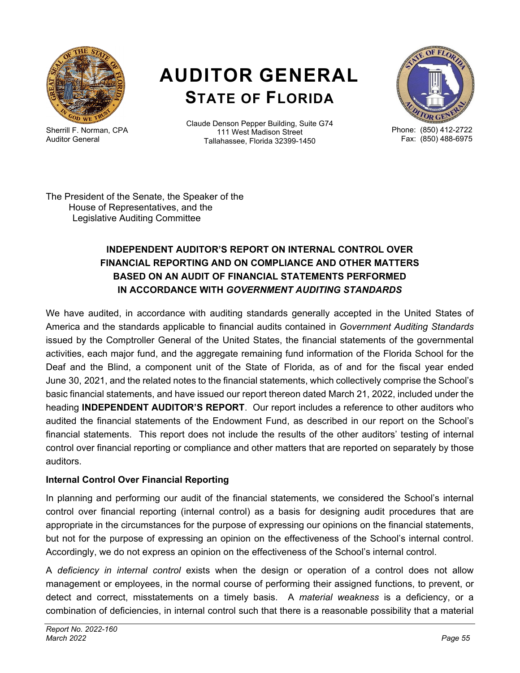<span id="page-59-0"></span>

Sherrill F. Norman, CPA Auditor General

# **AUDITOR GENERAL STATE OF FLORIDA**

Claude Denson Pepper Building, Suite G74 111 West Madison Street Tallahassee, Florida 32399-1450



Phone: (850) 412-2722 Fax: (850) 488-6975

The President of the Senate, the Speaker of the House of Representatives, and the Legislative Auditing Committee

### **INDEPENDENT AUDITOR'S REPORT ON INTERNAL CONTROL OVER FINANCIAL REPORTING AND ON COMPLIANCE AND OTHER MATTERS BASED ON AN AUDIT OF FINANCIAL STATEMENTS PERFORMED IN ACCORDANCE WITH** *GOVERNMENT AUDITING STANDARDS*

We have audited, in accordance with auditing standards generally accepted in the United States of America and the standards applicable to financial audits contained in *Government Auditing Standards* issued by the Comptroller General of the United States, the financial statements of the governmental activities, each major fund, and the aggregate remaining fund information of the Florida School for the Deaf and the Blind, a component unit of the State of Florida, as of and for the fiscal year ended June 30, 2021, and the related notes to the financial statements, which collectively comprise the School's basic financial statements, and have issued our report thereon dated March 21, 2022, included under the heading **INDEPENDENT AUDITOR'S REPORT**. Our report includes a reference to other auditors who audited the financial statements of the Endowment Fund, as described in our report on the School's financial statements. This report does not include the results of the other auditors' testing of internal control over financial reporting or compliance and other matters that are reported on separately by those auditors.

### **Internal Control Over Financial Reporting**

In planning and performing our audit of the financial statements, we considered the School's internal control over financial reporting (internal control) as a basis for designing audit procedures that are appropriate in the circumstances for the purpose of expressing our opinions on the financial statements, but not for the purpose of expressing an opinion on the effectiveness of the School's internal control. Accordingly, we do not express an opinion on the effectiveness of the School's internal control.

A *deficiency in internal control* exists when the design or operation of a control does not allow management or employees, in the normal course of performing their assigned functions, to prevent, or detect and correct, misstatements on a timely basis. A *material weakness* is a deficiency, or a combination of deficiencies, in internal control such that there is a reasonable possibility that a material